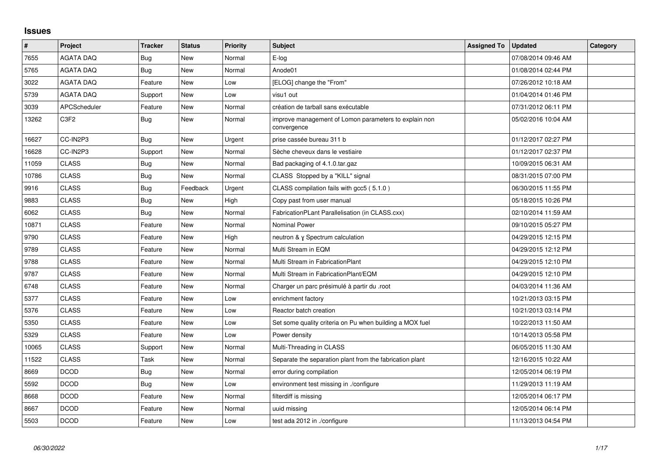## **Issues**

| $\vert$ # | Project             | <b>Tracker</b> | <b>Status</b> | <b>Priority</b> | <b>Subject</b>                                                       | <b>Assigned To</b> | <b>Updated</b>      | Category |
|-----------|---------------------|----------------|---------------|-----------------|----------------------------------------------------------------------|--------------------|---------------------|----------|
| 7655      | <b>AGATA DAQ</b>    | Bug            | <b>New</b>    | Normal          | E-log                                                                |                    | 07/08/2014 09:46 AM |          |
| 5765      | <b>AGATA DAQ</b>    | <b>Bug</b>     | New           | Normal          | Anode01                                                              |                    | 01/08/2014 02:44 PM |          |
| 3022      | <b>AGATA DAQ</b>    | Feature        | <b>New</b>    | Low             | [ELOG] change the "From"                                             |                    | 07/26/2012 10:18 AM |          |
| 5739      | <b>AGATA DAQ</b>    | Support        | New           | Low             | visu1 out                                                            |                    | 01/04/2014 01:46 PM |          |
| 3039      | <b>APCScheduler</b> | Feature        | <b>New</b>    | Normal          | création de tarball sans exécutable                                  |                    | 07/31/2012 06:11 PM |          |
| 13262     | C3F2                | <b>Bug</b>     | New           | Normal          | improve management of Lomon parameters to explain non<br>convergence |                    | 05/02/2016 10:04 AM |          |
| 16627     | CC-IN2P3            | Bug            | New           | Urgent          | prise cassée bureau 311 b                                            |                    | 01/12/2017 02:27 PM |          |
| 16628     | CC-IN2P3            | Support        | New           | Normal          | Sèche cheveux dans le vestiaire                                      |                    | 01/12/2017 02:37 PM |          |
| 11059     | <b>CLASS</b>        | <b>Bug</b>     | New           | Normal          | Bad packaging of 4.1.0.tar.gaz                                       |                    | 10/09/2015 06:31 AM |          |
| 10786     | <b>CLASS</b>        | <b>Bug</b>     | New           | Normal          | CLASS Stopped by a "KILL" signal                                     |                    | 08/31/2015 07:00 PM |          |
| 9916      | <b>CLASS</b>        | <b>Bug</b>     | Feedback      | Urgent          | CLASS compilation fails with gcc5 (5.1.0)                            |                    | 06/30/2015 11:55 PM |          |
| 9883      | <b>CLASS</b>        | <b>Bug</b>     | New           | High            | Copy past from user manual                                           |                    | 05/18/2015 10:26 PM |          |
| 6062      | <b>CLASS</b>        | <b>Bug</b>     | <b>New</b>    | Normal          | FabricationPLant Parallelisation (in CLASS.cxx)                      |                    | 02/10/2014 11:59 AM |          |
| 10871     | <b>CLASS</b>        | Feature        | <b>New</b>    | Normal          | <b>Nominal Power</b>                                                 |                    | 09/10/2015 05:27 PM |          |
| 9790      | <b>CLASS</b>        | Feature        | New           | High            | neutron & y Spectrum calculation                                     |                    | 04/29/2015 12:15 PM |          |
| 9789      | <b>CLASS</b>        | Feature        | <b>New</b>    | Normal          | Multi Stream in EQM                                                  |                    | 04/29/2015 12:12 PM |          |
| 9788      | <b>CLASS</b>        | Feature        | New           | Normal          | Multi Stream in FabricationPlant                                     |                    | 04/29/2015 12:10 PM |          |
| 9787      | <b>CLASS</b>        | Feature        | New           | Normal          | Multi Stream in FabricationPlant/EQM                                 |                    | 04/29/2015 12:10 PM |          |
| 6748      | <b>CLASS</b>        | Feature        | New           | Normal          | Charger un parc présimulé à partir du .root                          |                    | 04/03/2014 11:36 AM |          |
| 5377      | <b>CLASS</b>        | Feature        | <b>New</b>    | Low             | enrichment factory                                                   |                    | 10/21/2013 03:15 PM |          |
| 5376      | <b>CLASS</b>        | Feature        | New           | Low             | Reactor batch creation                                               |                    | 10/21/2013 03:14 PM |          |
| 5350      | <b>CLASS</b>        | Feature        | New           | Low             | Set some quality criteria on Pu when building a MOX fuel             |                    | 10/22/2013 11:50 AM |          |
| 5329      | <b>CLASS</b>        | Feature        | New           | Low             | Power density                                                        |                    | 10/14/2013 05:58 PM |          |
| 10065     | <b>CLASS</b>        | Support        | New           | Normal          | Multi-Threading in CLASS                                             |                    | 06/05/2015 11:30 AM |          |
| 11522     | <b>CLASS</b>        | Task           | New           | Normal          | Separate the separation plant from the fabrication plant             |                    | 12/16/2015 10:22 AM |          |
| 8669      | <b>DCOD</b>         | Bug            | New           | Normal          | error during compilation                                             |                    | 12/05/2014 06:19 PM |          |
| 5592      | <b>DCOD</b>         | <b>Bug</b>     | New           | Low             | environment test missing in ./configure                              |                    | 11/29/2013 11:19 AM |          |
| 8668      | <b>DCOD</b>         | Feature        | New           | Normal          | filterdiff is missing                                                |                    | 12/05/2014 06:17 PM |          |
| 8667      | <b>DCOD</b>         | Feature        | <b>New</b>    | Normal          | uuid missing                                                         |                    | 12/05/2014 06:14 PM |          |
| 5503      | <b>DCOD</b>         | Feature        | New           | Low             | test ada 2012 in ./configure                                         |                    | 11/13/2013 04:54 PM |          |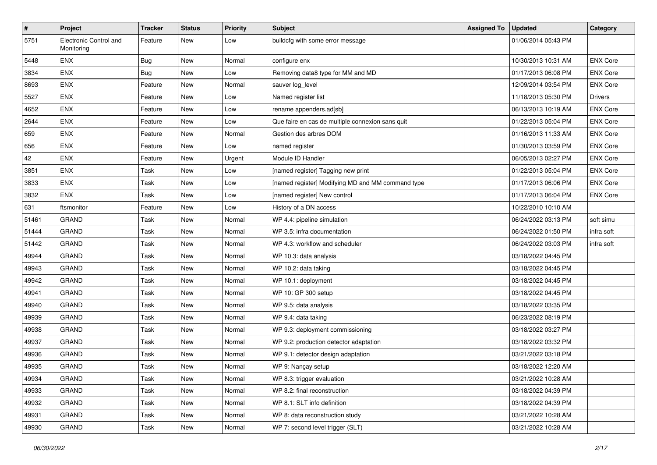| $\vert$ # | Project                              | Tracker | <b>Status</b> | <b>Priority</b> | <b>Subject</b>                                    | <b>Assigned To</b> | <b>Updated</b>      | Category        |
|-----------|--------------------------------------|---------|---------------|-----------------|---------------------------------------------------|--------------------|---------------------|-----------------|
| 5751      | Electronic Control and<br>Monitoring | Feature | New           | Low             | buildcfg with some error message                  |                    | 01/06/2014 05:43 PM |                 |
| 5448      | <b>ENX</b>                           | Bug     | <b>New</b>    | Normal          | configure enx                                     |                    | 10/30/2013 10:31 AM | <b>ENX Core</b> |
| 3834      | <b>ENX</b>                           | Bug     | New           | Low             | Removing data8 type for MM and MD                 |                    | 01/17/2013 06:08 PM | <b>ENX Core</b> |
| 8693      | <b>ENX</b>                           | Feature | New           | Normal          | sauver log_level                                  |                    | 12/09/2014 03:54 PM | <b>ENX Core</b> |
| 5527      | <b>ENX</b>                           | Feature | New           | Low             | Named register list                               |                    | 11/18/2013 05:30 PM | <b>Drivers</b>  |
| 4652      | <b>ENX</b>                           | Feature | <b>New</b>    | Low             | rename appenders.ad[sb]                           |                    | 06/13/2013 10:19 AM | <b>ENX Core</b> |
| 2644      | <b>ENX</b>                           | Feature | New           | Low             | Que faire en cas de multiple connexion sans quit  |                    | 01/22/2013 05:04 PM | <b>ENX Core</b> |
| 659       | <b>ENX</b>                           | Feature | New           | Normal          | Gestion des arbres DOM                            |                    | 01/16/2013 11:33 AM | <b>ENX Core</b> |
| 656       | <b>ENX</b>                           | Feature | New           | Low             | named register                                    |                    | 01/30/2013 03:59 PM | <b>ENX Core</b> |
| 42        | <b>ENX</b>                           | Feature | New           | Urgent          | Module ID Handler                                 |                    | 06/05/2013 02:27 PM | <b>ENX Core</b> |
| 3851      | <b>ENX</b>                           | Task    | New           | Low             | [named register] Tagging new print                |                    | 01/22/2013 05:04 PM | <b>ENX Core</b> |
| 3833      | <b>ENX</b>                           | Task    | New           | Low             | [named register] Modifying MD and MM command type |                    | 01/17/2013 06:06 PM | <b>ENX Core</b> |
| 3832      | <b>ENX</b>                           | Task    | New           | Low             | [named register] New control                      |                    | 01/17/2013 06:04 PM | <b>ENX Core</b> |
| 631       | ftsmonitor                           | Feature | New           | Low             | History of a DN access                            |                    | 10/22/2010 10:10 AM |                 |
| 51461     | <b>GRAND</b>                         | Task    | New           | Normal          | WP 4.4: pipeline simulation                       |                    | 06/24/2022 03:13 PM | soft simu       |
| 51444     | <b>GRAND</b>                         | Task    | New           | Normal          | WP 3.5: infra documentation                       |                    | 06/24/2022 01:50 PM | infra soft      |
| 51442     | <b>GRAND</b>                         | Task    | New           | Normal          | WP 4.3: workflow and scheduler                    |                    | 06/24/2022 03:03 PM | infra soft      |
| 49944     | <b>GRAND</b>                         | Task    | New           | Normal          | WP 10.3: data analysis                            |                    | 03/18/2022 04:45 PM |                 |
| 49943     | <b>GRAND</b>                         | Task    | <b>New</b>    | Normal          | WP 10.2: data taking                              |                    | 03/18/2022 04:45 PM |                 |
| 49942     | GRAND                                | Task    | New           | Normal          | WP 10.1: deployment                               |                    | 03/18/2022 04:45 PM |                 |
| 49941     | <b>GRAND</b>                         | Task    | New           | Normal          | WP 10: GP 300 setup                               |                    | 03/18/2022 04:45 PM |                 |
| 49940     | <b>GRAND</b>                         | Task    | <b>New</b>    | Normal          | WP 9.5: data analysis                             |                    | 03/18/2022 03:35 PM |                 |
| 49939     | <b>GRAND</b>                         | Task    | New           | Normal          | WP 9.4: data taking                               |                    | 06/23/2022 08:19 PM |                 |
| 49938     | <b>GRAND</b>                         | Task    | New           | Normal          | WP 9.3: deployment commissioning                  |                    | 03/18/2022 03:27 PM |                 |
| 49937     | <b>GRAND</b>                         | Task    | New           | Normal          | WP 9.2: production detector adaptation            |                    | 03/18/2022 03:32 PM |                 |
| 49936     | <b>GRAND</b>                         | Task    | New           | Normal          | WP 9.1: detector design adaptation                |                    | 03/21/2022 03:18 PM |                 |
| 49935     | <b>GRAND</b>                         | Task    | <b>New</b>    | Normal          | WP 9: Nançay setup                                |                    | 03/18/2022 12:20 AM |                 |
| 49934     | GRAND                                | Task    | New           | Normal          | WP 8.3: trigger evaluation                        |                    | 03/21/2022 10:28 AM |                 |
| 49933     | <b>GRAND</b>                         | Task    | New           | Normal          | WP 8.2: final reconstruction                      |                    | 03/18/2022 04:39 PM |                 |
| 49932     | GRAND                                | Task    | New           | Normal          | WP 8.1: SLT info definition                       |                    | 03/18/2022 04:39 PM |                 |
| 49931     | <b>GRAND</b>                         | Task    | New           | Normal          | WP 8: data reconstruction study                   |                    | 03/21/2022 10:28 AM |                 |
| 49930     | GRAND                                | Task    | New           | Normal          | WP 7: second level trigger (SLT)                  |                    | 03/21/2022 10:28 AM |                 |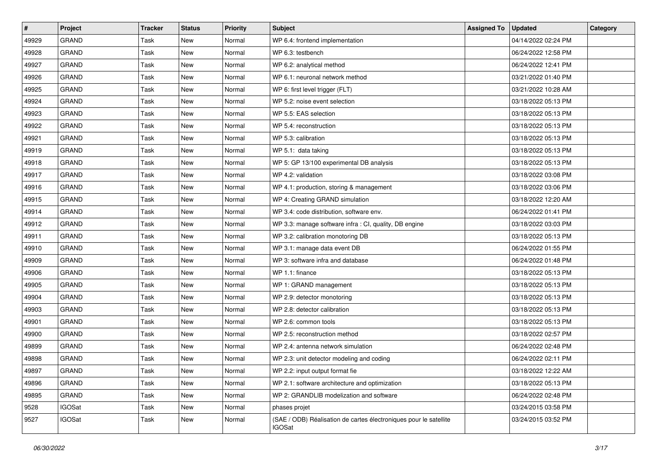| $\sharp$ | Project       | Tracker | <b>Status</b> | <b>Priority</b> | <b>Subject</b>                                                                     | <b>Assigned To</b> | <b>Updated</b>      | Category |
|----------|---------------|---------|---------------|-----------------|------------------------------------------------------------------------------------|--------------------|---------------------|----------|
| 49929    | <b>GRAND</b>  | Task    | New           | Normal          | WP 6.4: frontend implementation                                                    |                    | 04/14/2022 02:24 PM |          |
| 49928    | <b>GRAND</b>  | Task    | New           | Normal          | WP 6.3: testbench                                                                  |                    | 06/24/2022 12:58 PM |          |
| 49927    | <b>GRAND</b>  | Task    | New           | Normal          | WP 6.2: analytical method                                                          |                    | 06/24/2022 12:41 PM |          |
| 49926    | <b>GRAND</b>  | Task    | New           | Normal          | WP 6.1: neuronal network method                                                    |                    | 03/21/2022 01:40 PM |          |
| 49925    | <b>GRAND</b>  | Task    | <b>New</b>    | Normal          | WP 6: first level trigger (FLT)                                                    |                    | 03/21/2022 10:28 AM |          |
| 49924    | <b>GRAND</b>  | Task    | New           | Normal          | WP 5.2: noise event selection                                                      |                    | 03/18/2022 05:13 PM |          |
| 49923    | <b>GRAND</b>  | Task    | New           | Normal          | WP 5.5: EAS selection                                                              |                    | 03/18/2022 05:13 PM |          |
| 49922    | <b>GRAND</b>  | Task    | New           | Normal          | WP 5.4: reconstruction                                                             |                    | 03/18/2022 05:13 PM |          |
| 49921    | <b>GRAND</b>  | Task    | New           | Normal          | WP 5.3: calibration                                                                |                    | 03/18/2022 05:13 PM |          |
| 49919    | <b>GRAND</b>  | Task    | New           | Normal          | WP 5.1: data taking                                                                |                    | 03/18/2022 05:13 PM |          |
| 49918    | <b>GRAND</b>  | Task    | New           | Normal          | WP 5: GP 13/100 experimental DB analysis                                           |                    | 03/18/2022 05:13 PM |          |
| 49917    | <b>GRAND</b>  | Task    | New           | Normal          | WP 4.2: validation                                                                 |                    | 03/18/2022 03:08 PM |          |
| 49916    | <b>GRAND</b>  | Task    | New           | Normal          | WP 4.1: production, storing & management                                           |                    | 03/18/2022 03:06 PM |          |
| 49915    | <b>GRAND</b>  | Task    | New           | Normal          | WP 4: Creating GRAND simulation                                                    |                    | 03/18/2022 12:20 AM |          |
| 49914    | GRAND         | Task    | New           | Normal          | WP 3.4: code distribution, software env.                                           |                    | 06/24/2022 01:41 PM |          |
| 49912    | GRAND         | Task    | New           | Normal          | WP 3.3: manage software infra : CI, quality, DB engine                             |                    | 03/18/2022 03:03 PM |          |
| 49911    | <b>GRAND</b>  | Task    | New           | Normal          | WP 3.2: calibration monotoring DB                                                  |                    | 03/18/2022 05:13 PM |          |
| 49910    | <b>GRAND</b>  | Task    | New           | Normal          | WP 3.1: manage data event DB                                                       |                    | 06/24/2022 01:55 PM |          |
| 49909    | <b>GRAND</b>  | Task    | New           | Normal          | WP 3: software infra and database                                                  |                    | 06/24/2022 01:48 PM |          |
| 49906    | <b>GRAND</b>  | Task    | New           | Normal          | WP 1.1: finance                                                                    |                    | 03/18/2022 05:13 PM |          |
| 49905    | <b>GRAND</b>  | Task    | New           | Normal          | WP 1: GRAND management                                                             |                    | 03/18/2022 05:13 PM |          |
| 49904    | <b>GRAND</b>  | Task    | New           | Normal          | WP 2.9: detector monotoring                                                        |                    | 03/18/2022 05:13 PM |          |
| 49903    | <b>GRAND</b>  | Task    | New           | Normal          | WP 2.8: detector calibration                                                       |                    | 03/18/2022 05:13 PM |          |
| 49901    | <b>GRAND</b>  | Task    | New           | Normal          | WP 2.6: common tools                                                               |                    | 03/18/2022 05:13 PM |          |
| 49900    | <b>GRAND</b>  | Task    | New           | Normal          | WP 2.5: reconstruction method                                                      |                    | 03/18/2022 02:57 PM |          |
| 49899    | <b>GRAND</b>  | Task    | New           | Normal          | WP 2.4: antenna network simulation                                                 |                    | 06/24/2022 02:48 PM |          |
| 49898    | <b>GRAND</b>  | Task    | New           | Normal          | WP 2.3: unit detector modeling and coding                                          |                    | 06/24/2022 02:11 PM |          |
| 49897    | GRAND         | Task    | New           | Normal          | WP 2.2: input output format fie                                                    |                    | 03/18/2022 12:22 AM |          |
| 49896    | GRAND         | Task    | New           | Normal          | WP 2.1: software architecture and optimization                                     |                    | 03/18/2022 05:13 PM |          |
| 49895    | <b>GRAND</b>  | Task    | New           | Normal          | WP 2: GRANDLIB modelization and software                                           |                    | 06/24/2022 02:48 PM |          |
| 9528     | IGOSat        | Task    | New           | Normal          | phases projet                                                                      |                    | 03/24/2015 03:58 PM |          |
| 9527     | <b>IGOSat</b> | Task    | New           | Normal          | (SAE / ODB) Réalisation de cartes électroniques pour le satellite<br><b>IGOSat</b> |                    | 03/24/2015 03:52 PM |          |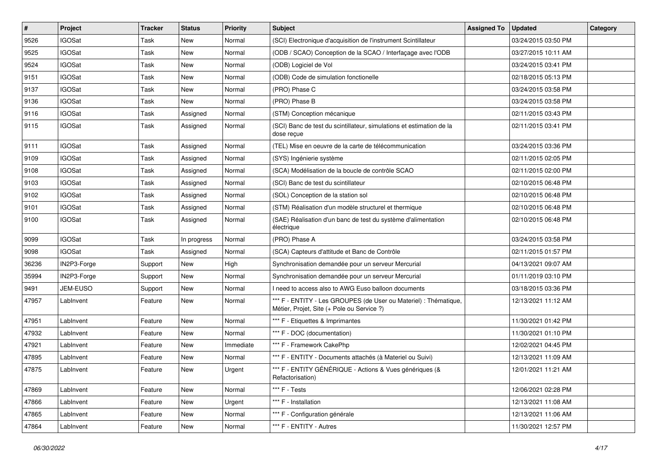| #     | Project       | Tracker | <b>Status</b> | <b>Priority</b> | <b>Subject</b>                                                                                                 | <b>Assigned To</b> | <b>Updated</b>      | Category |
|-------|---------------|---------|---------------|-----------------|----------------------------------------------------------------------------------------------------------------|--------------------|---------------------|----------|
| 9526  | <b>IGOSat</b> | Task    | New           | Normal          | (SCI) Electronique d'acquisition de l'instrument Scintillateur                                                 |                    | 03/24/2015 03:50 PM |          |
| 9525  | <b>IGOSat</b> | Task    | New           | Normal          | (ODB / SCAO) Conception de la SCAO / Interfaçage avec l'ODB                                                    |                    | 03/27/2015 10:11 AM |          |
| 9524  | <b>IGOSat</b> | Task    | New           | Normal          | (ODB) Logiciel de Vol                                                                                          |                    | 03/24/2015 03:41 PM |          |
| 9151  | <b>IGOSat</b> | Task    | New           | Normal          | (ODB) Code de simulation fonctionelle                                                                          |                    | 02/18/2015 05:13 PM |          |
| 9137  | <b>IGOSat</b> | Task    | <b>New</b>    | Normal          | (PRO) Phase C                                                                                                  |                    | 03/24/2015 03:58 PM |          |
| 9136  | <b>IGOSat</b> | Task    | New           | Normal          | (PRO) Phase B                                                                                                  |                    | 03/24/2015 03:58 PM |          |
| 9116  | <b>IGOSat</b> | Task    | Assigned      | Normal          | (STM) Conception mécanique                                                                                     |                    | 02/11/2015 03:43 PM |          |
| 9115  | <b>IGOSat</b> | Task    | Assigned      | Normal          | (SCI) Banc de test du scintillateur, simulations et estimation de la<br>dose reçue                             |                    | 02/11/2015 03:41 PM |          |
| 9111  | <b>IGOSat</b> | Task    | Assigned      | Normal          | (TEL) Mise en oeuvre de la carte de télécommunication                                                          |                    | 03/24/2015 03:36 PM |          |
| 9109  | <b>IGOSat</b> | Task    | Assigned      | Normal          | (SYS) Ingénierie système                                                                                       |                    | 02/11/2015 02:05 PM |          |
| 9108  | <b>IGOSat</b> | Task    | Assigned      | Normal          | (SCA) Modélisation de la boucle de contrôle SCAO                                                               |                    | 02/11/2015 02:00 PM |          |
| 9103  | <b>IGOSat</b> | Task    | Assigned      | Normal          | (SCI) Banc de test du scintillateur                                                                            |                    | 02/10/2015 06:48 PM |          |
| 9102  | <b>IGOSat</b> | Task    | Assigned      | Normal          | (SOL) Conception de la station sol                                                                             |                    | 02/10/2015 06:48 PM |          |
| 9101  | <b>IGOSat</b> | Task    | Assigned      | Normal          | (STM) Réalisation d'un modèle structurel et thermique                                                          |                    | 02/10/2015 06:48 PM |          |
| 9100  | <b>IGOSat</b> | Task    | Assigned      | Normal          | (SAE) Réalisation d'un banc de test du système d'alimentation<br>électrique                                    |                    | 02/10/2015 06:48 PM |          |
| 9099  | <b>IGOSat</b> | Task    | In progress   | Normal          | (PRO) Phase A                                                                                                  |                    | 03/24/2015 03:58 PM |          |
| 9098  | <b>IGOSat</b> | Task    | Assigned      | Normal          | (SCA) Capteurs d'attitude et Banc de Contrôle                                                                  |                    | 02/11/2015 01:57 PM |          |
| 36236 | IN2P3-Forge   | Support | New           | High            | Synchronisation demandée pour un serveur Mercurial                                                             |                    | 04/13/2021 09:07 AM |          |
| 35994 | IN2P3-Forge   | Support | New           | Normal          | Synchronisation demandée pour un serveur Mercurial                                                             |                    | 01/11/2019 03:10 PM |          |
| 9491  | JEM-EUSO      | Support | New           | Normal          | I need to access also to AWG Euso balloon documents                                                            |                    | 03/18/2015 03:36 PM |          |
| 47957 | LabInvent     | Feature | New           | Normal          | *** F - ENTITY - Les GROUPES (de User ou Materiel) : Thématique,<br>Métier, Projet, Site (+ Pole ou Service ?) |                    | 12/13/2021 11:12 AM |          |
| 47951 | LabInvent     | Feature | New           | Normal          | *** F - Etiquettes & Imprimantes                                                                               |                    | 11/30/2021 01:42 PM |          |
| 47932 | LabInvent     | Feature | New           | Normal          | *** F - DOC (documentation)                                                                                    |                    | 11/30/2021 01:10 PM |          |
| 47921 | LabInvent     | Feature | New           | Immediate       | *** F - Framework CakePhp                                                                                      |                    | 12/02/2021 04:45 PM |          |
| 47895 | LabInvent     | Feature | New           | Normal          | *** F - ENTITY - Documents attachés (à Materiel ou Suivi)                                                      |                    | 12/13/2021 11:09 AM |          |
| 47875 | LabInvent     | Feature | New           | Urgent          | *** F - ENTITY GÉNÉRIQUE - Actions & Vues génériques (&<br>Refactorisation)                                    |                    | 12/01/2021 11:21 AM |          |
| 47869 | LabInvent     | Feature | New           | Normal          | *** F - Tests                                                                                                  |                    | 12/06/2021 02:28 PM |          |
| 47866 | LabInvent     | Feature | New           | Urgent          | *** F - Installation                                                                                           |                    | 12/13/2021 11:08 AM |          |
| 47865 | LabInvent     | Feature | New           | Normal          | *** F - Configuration générale                                                                                 |                    | 12/13/2021 11:06 AM |          |
| 47864 | LabInvent     | Feature | New           | Normal          | *** F - ENTITY - Autres                                                                                        |                    | 11/30/2021 12:57 PM |          |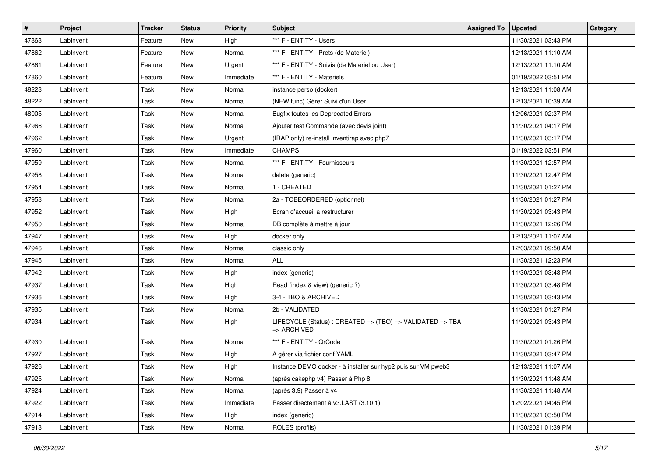| #     | Project   | Tracker | <b>Status</b> | <b>Priority</b> | <b>Subject</b>                                                           | <b>Assigned To</b> | <b>Updated</b>      | Category |
|-------|-----------|---------|---------------|-----------------|--------------------------------------------------------------------------|--------------------|---------------------|----------|
| 47863 | LabInvent | Feature | New           | High            | *** F - ENTITY - Users                                                   |                    | 11/30/2021 03:43 PM |          |
| 47862 | LabInvent | Feature | New           | Normal          | *** F - ENTITY - Prets (de Materiel)                                     |                    | 12/13/2021 11:10 AM |          |
| 47861 | LabInvent | Feature | New           | Urgent          | *** F - ENTITY - Suivis (de Materiel ou User)                            |                    | 12/13/2021 11:10 AM |          |
| 47860 | LabInvent | Feature | New           | Immediate       | *** F - ENTITY - Materiels                                               |                    | 01/19/2022 03:51 PM |          |
| 48223 | LabInvent | Task    | New           | Normal          | instance perso (docker)                                                  |                    | 12/13/2021 11:08 AM |          |
| 48222 | LabInvent | Task    | New           | Normal          | (NEW func) Gérer Suivi d'un User                                         |                    | 12/13/2021 10:39 AM |          |
| 48005 | LabInvent | Task    | New           | Normal          | <b>Bugfix toutes les Deprecated Errors</b>                               |                    | 12/06/2021 02:37 PM |          |
| 47966 | LabInvent | Task    | New           | Normal          | Ajouter test Commande (avec devis joint)                                 |                    | 11/30/2021 04:17 PM |          |
| 47962 | LabInvent | Task    | New           | Urgent          | (IRAP only) re-install inventirap avec php7                              |                    | 11/30/2021 03:17 PM |          |
| 47960 | LabInvent | Task    | New           | Immediate       | <b>CHAMPS</b>                                                            |                    | 01/19/2022 03:51 PM |          |
| 47959 | LabInvent | Task    | New           | Normal          | *** F - ENTITY - Fournisseurs                                            |                    | 11/30/2021 12:57 PM |          |
| 47958 | LabInvent | Task    | New           | Normal          | delete (generic)                                                         |                    | 11/30/2021 12:47 PM |          |
| 47954 | LabInvent | Task    | New           | Normal          | 1 - CREATED                                                              |                    | 11/30/2021 01:27 PM |          |
| 47953 | LabInvent | Task    | New           | Normal          | 2a - TOBEORDERED (optionnel)                                             |                    | 11/30/2021 01:27 PM |          |
| 47952 | LabInvent | Task    | New           | High            | Ecran d'accueil à restructurer                                           |                    | 11/30/2021 03:43 PM |          |
| 47950 | LabInvent | Task    | New           | Normal          | DB complète à mettre à jour                                              |                    | 11/30/2021 12:26 PM |          |
| 47947 | LabInvent | Task    | New           | High            | docker only                                                              |                    | 12/13/2021 11:07 AM |          |
| 47946 | LabInvent | Task    | New           | Normal          | classic only                                                             |                    | 12/03/2021 09:50 AM |          |
| 47945 | LabInvent | Task    | New           | Normal          | <b>ALL</b>                                                               |                    | 11/30/2021 12:23 PM |          |
| 47942 | LabInvent | Task    | New           | High            | index (generic)                                                          |                    | 11/30/2021 03:48 PM |          |
| 47937 | LabInvent | Task    | New           | High            | Read (index & view) (generic ?)                                          |                    | 11/30/2021 03:48 PM |          |
| 47936 | LabInvent | Task    | New           | High            | 3-4 - TBO & ARCHIVED                                                     |                    | 11/30/2021 03:43 PM |          |
| 47935 | LabInvent | Task    | New           | Normal          | 2b - VALIDATED                                                           |                    | 11/30/2021 01:27 PM |          |
| 47934 | LabInvent | Task    | New           | High            | LIFECYCLE (Status) : CREATED => (TBO) => VALIDATED => TBA<br>=> ARCHIVED |                    | 11/30/2021 03:43 PM |          |
| 47930 | LabInvent | Task    | New           | Normal          | *** F - ENTITY - QrCode                                                  |                    | 11/30/2021 01:26 PM |          |
| 47927 | LabInvent | Task    | New           | High            | A gérer via fichier conf YAML                                            |                    | 11/30/2021 03:47 PM |          |
| 47926 | LabInvent | Task    | New           | High            | Instance DEMO docker - à installer sur hyp2 puis sur VM pweb3            |                    | 12/13/2021 11:07 AM |          |
| 47925 | LabInvent | Task    | New           | Normal          | (après cakephp v4) Passer à Php 8                                        |                    | 11/30/2021 11:48 AM |          |
| 47924 | LabInvent | Task    | New           | Normal          | (après 3.9) Passer à v4                                                  |                    | 11/30/2021 11:48 AM |          |
| 47922 | LabInvent | Task    | New           | Immediate       | Passer directement à v3.LAST (3.10.1)                                    |                    | 12/02/2021 04:45 PM |          |
| 47914 | LabInvent | Task    | New           | High            | index (generic)                                                          |                    | 11/30/2021 03:50 PM |          |
| 47913 | LabInvent | Task    | New           | Normal          | ROLES (profils)                                                          |                    | 11/30/2021 01:39 PM |          |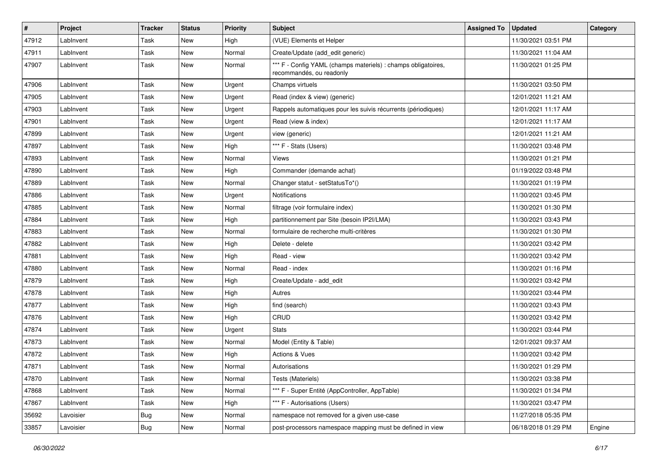| $\pmb{\#}$ | Project   | <b>Tracker</b> | <b>Status</b> | <b>Priority</b> | Subject                                                                                   | <b>Assigned To</b> | <b>Updated</b>      | Category |
|------------|-----------|----------------|---------------|-----------------|-------------------------------------------------------------------------------------------|--------------------|---------------------|----------|
| 47912      | LabInvent | Task           | New           | High            | (VUE) Elements et Helper                                                                  |                    | 11/30/2021 03:51 PM |          |
| 47911      | LabInvent | Task           | New           | Normal          | Create/Update (add_edit generic)                                                          |                    | 11/30/2021 11:04 AM |          |
| 47907      | LabInvent | Task           | New           | Normal          | *** F - Config YAML (champs materiels) : champs obligatoires,<br>recommandés, ou readonly |                    | 11/30/2021 01:25 PM |          |
| 47906      | LabInvent | Task           | New           | Urgent          | Champs virtuels                                                                           |                    | 11/30/2021 03:50 PM |          |
| 47905      | LabInvent | Task           | <b>New</b>    | Urgent          | Read (index & view) (generic)                                                             |                    | 12/01/2021 11:21 AM |          |
| 47903      | LabInvent | Task           | <b>New</b>    | Urgent          | Rappels automatiques pour les suivis récurrents (périodiques)                             |                    | 12/01/2021 11:17 AM |          |
| 47901      | LabInvent | Task           | New           | Urgent          | Read (view & index)                                                                       |                    | 12/01/2021 11:17 AM |          |
| 47899      | LabInvent | Task           | New           | Urgent          | view (generic)                                                                            |                    | 12/01/2021 11:21 AM |          |
| 47897      | LabInvent | Task           | <b>New</b>    | High            | *** F - Stats (Users)                                                                     |                    | 11/30/2021 03:48 PM |          |
| 47893      | LabInvent | Task           | New           | Normal          | Views                                                                                     |                    | 11/30/2021 01:21 PM |          |
| 47890      | LabInvent | Task           | New           | High            | Commander (demande achat)                                                                 |                    | 01/19/2022 03:48 PM |          |
| 47889      | LabInvent | Task           | New           | Normal          | Changer statut - setStatusTo*()                                                           |                    | 11/30/2021 01:19 PM |          |
| 47886      | LabInvent | Task           | New           | Urgent          | Notifications                                                                             |                    | 11/30/2021 03:45 PM |          |
| 47885      | LabInvent | Task           | New           | Normal          | filtrage (voir formulaire index)                                                          |                    | 11/30/2021 01:30 PM |          |
| 47884      | LabInvent | Task           | New           | High            | partitionnement par Site (besoin IP2I/LMA)                                                |                    | 11/30/2021 03:43 PM |          |
| 47883      | LabInvent | Task           | New           | Normal          | formulaire de recherche multi-critères                                                    |                    | 11/30/2021 01:30 PM |          |
| 47882      | LabInvent | Task           | New           | High            | Delete - delete                                                                           |                    | 11/30/2021 03:42 PM |          |
| 47881      | LabInvent | Task           | <b>New</b>    | High            | Read - view                                                                               |                    | 11/30/2021 03:42 PM |          |
| 47880      | LabInvent | Task           | <b>New</b>    | Normal          | Read - index                                                                              |                    | 11/30/2021 01:16 PM |          |
| 47879      | LabInvent | Task           | New           | High            | Create/Update - add_edit                                                                  |                    | 11/30/2021 03:42 PM |          |
| 47878      | LabInvent | Task           | New           | High            | Autres                                                                                    |                    | 11/30/2021 03:44 PM |          |
| 47877      | LabInvent | Task           | New           | High            | find (search)                                                                             |                    | 11/30/2021 03:43 PM |          |
| 47876      | LabInvent | Task           | <b>New</b>    | High            | CRUD                                                                                      |                    | 11/30/2021 03:42 PM |          |
| 47874      | LabInvent | Task           | <b>New</b>    | Urgent          | <b>Stats</b>                                                                              |                    | 11/30/2021 03:44 PM |          |
| 47873      | LabInvent | Task           | New           | Normal          | Model (Entity & Table)                                                                    |                    | 12/01/2021 09:37 AM |          |
| 47872      | LabInvent | Task           | <b>New</b>    | High            | <b>Actions &amp; Vues</b>                                                                 |                    | 11/30/2021 03:42 PM |          |
| 47871      | LabInvent | Task           | <b>New</b>    | Normal          | Autorisations                                                                             |                    | 11/30/2021 01:29 PM |          |
| 47870      | LabInvent | Task           | New           | Normal          | Tests (Materiels)                                                                         |                    | 11/30/2021 03:38 PM |          |
| 47868      | LabInvent | Task           | New           | Normal          | *** F - Super Entité (AppController, AppTable)                                            |                    | 11/30/2021 01:34 PM |          |
| 47867      | LabInvent | Task           | New           | High            | *** F - Autorisations (Users)                                                             |                    | 11/30/2021 03:47 PM |          |
| 35692      | Lavoisier | <b>Bug</b>     | New           | Normal          | namespace not removed for a given use-case                                                |                    | 11/27/2018 05:35 PM |          |
| 33857      | Lavoisier | Bug            | New           | Normal          | post-processors namespace mapping must be defined in view                                 |                    | 06/18/2018 01:29 PM | Engine   |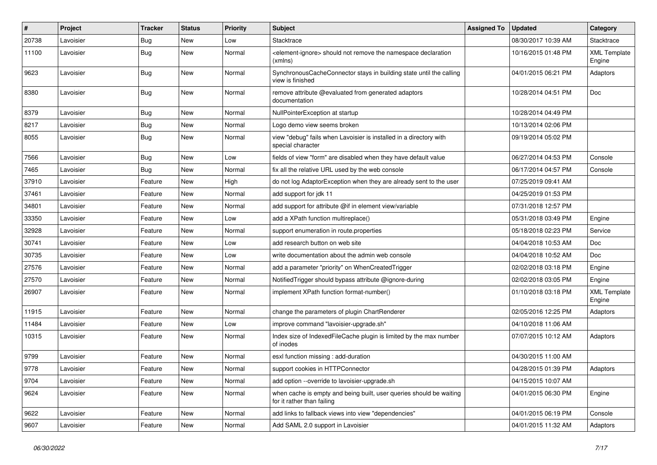| $\sharp$ | Project   | <b>Tracker</b> | <b>Status</b> | <b>Priority</b> | <b>Subject</b>                                                                                    | <b>Assigned To</b> | <b>Updated</b>      | <b>Category</b>               |
|----------|-----------|----------------|---------------|-----------------|---------------------------------------------------------------------------------------------------|--------------------|---------------------|-------------------------------|
| 20738    | Lavoisier | <b>Bug</b>     | <b>New</b>    | Low             | Stacktrace                                                                                        |                    | 08/30/2017 10:39 AM | Stacktrace                    |
| 11100    | Lavoisier | <b>Bug</b>     | New           | Normal          | <element-ignore> should not remove the namespace declaration<br/>(xmlns)</element-ignore>         |                    | 10/16/2015 01:48 PM | <b>XML Template</b><br>Engine |
| 9623     | Lavoisier | <b>Bug</b>     | <b>New</b>    | Normal          | SynchronousCacheConnector stays in building state until the calling<br>view is finished           |                    | 04/01/2015 06:21 PM | Adaptors                      |
| 8380     | Lavoisier | <b>Bug</b>     | New           | Normal          | remove attribute @evaluated from generated adaptors<br>documentation                              |                    | 10/28/2014 04:51 PM | Doc                           |
| 8379     | Lavoisier | Bug            | New           | Normal          | NullPointerException at startup                                                                   |                    | 10/28/2014 04:49 PM |                               |
| 8217     | Lavoisier | <b>Bug</b>     | <b>New</b>    | Normal          | Logo demo view seems broken                                                                       |                    | 10/13/2014 02:06 PM |                               |
| 8055     | Lavoisier | <b>Bug</b>     | <b>New</b>    | Normal          | view "debug" fails when Lavoisier is installed in a directory with<br>special character           |                    | 09/19/2014 05:02 PM |                               |
| 7566     | Lavoisier | <b>Bug</b>     | <b>New</b>    | Low             | fields of view "form" are disabled when they have default value                                   |                    | 06/27/2014 04:53 PM | Console                       |
| 7465     | Lavoisier | <b>Bug</b>     | <b>New</b>    | Normal          | fix all the relative URL used by the web console                                                  |                    | 06/17/2014 04:57 PM | Console                       |
| 37910    | Lavoisier | Feature        | <b>New</b>    | High            | do not log AdaptorException when they are already sent to the user                                |                    | 07/25/2019 09:41 AM |                               |
| 37461    | Lavoisier | Feature        | <b>New</b>    | Normal          | add support for jdk 11                                                                            |                    | 04/25/2019 01:53 PM |                               |
| 34801    | Lavoisier | Feature        | New           | Normal          | add support for attribute @if in element view/variable                                            |                    | 07/31/2018 12:57 PM |                               |
| 33350    | Lavoisier | Feature        | <b>New</b>    | Low             | add a XPath function multireplace()                                                               |                    | 05/31/2018 03:49 PM | Engine                        |
| 32928    | Lavoisier | Feature        | <b>New</b>    | Normal          | support enumeration in route properties                                                           |                    | 05/18/2018 02:23 PM | Service                       |
| 30741    | Lavoisier | Feature        | <b>New</b>    | Low             | add research button on web site                                                                   |                    | 04/04/2018 10:53 AM | Doc                           |
| 30735    | Lavoisier | Feature        | <b>New</b>    | Low             | write documentation about the admin web console                                                   |                    | 04/04/2018 10:52 AM | Doc                           |
| 27576    | Lavoisier | Feature        | New           | Normal          | add a parameter "priority" on WhenCreatedTrigger                                                  |                    | 02/02/2018 03:18 PM | Engine                        |
| 27570    | Lavoisier | Feature        | <b>New</b>    | Normal          | NotifiedTrigger should bypass attribute @ignore-during                                            |                    | 02/02/2018 03:05 PM | Engine                        |
| 26907    | Lavoisier | Feature        | <b>New</b>    | Normal          | implement XPath function format-number()                                                          |                    | 01/10/2018 03:18 PM | <b>XML Template</b><br>Engine |
| 11915    | Lavoisier | Feature        | <b>New</b>    | Normal          | change the parameters of plugin ChartRenderer                                                     |                    | 02/05/2016 12:25 PM | Adaptors                      |
| 11484    | Lavoisier | Feature        | <b>New</b>    | Low             | improve command "lavoisier-upgrade.sh"                                                            |                    | 04/10/2018 11:06 AM |                               |
| 10315    | Lavoisier | Feature        | <b>New</b>    | Normal          | Index size of IndexedFileCache plugin is limited by the max number<br>of inodes                   |                    | 07/07/2015 10:12 AM | Adaptors                      |
| 9799     | Lavoisier | Feature        | <b>New</b>    | Normal          | esxl function missing : add-duration                                                              |                    | 04/30/2015 11:00 AM |                               |
| 9778     | Lavoisier | Feature        | <b>New</b>    | Normal          | support cookies in HTTPConnector                                                                  |                    | 04/28/2015 01:39 PM | Adaptors                      |
| 9704     | Lavoisier | Feature        | New           | Normal          | add option --override to lavoisier-upgrade.sh                                                     |                    | 04/15/2015 10:07 AM |                               |
| 9624     | Lavoisier | Feature        | New           | Normal          | when cache is empty and being built, user queries should be waiting<br>for it rather than failing |                    | 04/01/2015 06:30 PM | Engine                        |
| 9622     | Lavoisier | Feature        | New           | Normal          | add links to fallback views into view "dependencies"                                              |                    | 04/01/2015 06:19 PM | Console                       |
| 9607     | Lavoisier | Feature        | New           | Normal          | Add SAML 2.0 support in Lavoisier                                                                 |                    | 04/01/2015 11:32 AM | Adaptors                      |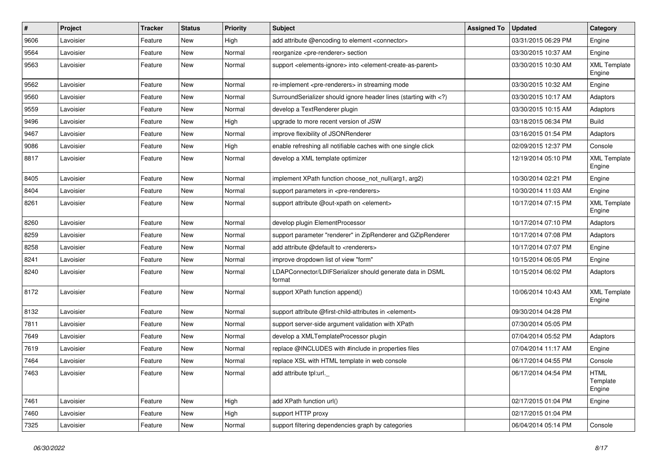| $\pmb{\#}$ | Project   | <b>Tracker</b> | <b>Status</b> | <b>Priority</b> | <b>Subject</b>                                                                                                              | <b>Assigned To</b> | <b>Updated</b>      | Category                          |
|------------|-----------|----------------|---------------|-----------------|-----------------------------------------------------------------------------------------------------------------------------|--------------------|---------------------|-----------------------------------|
| 9606       | Lavoisier | Feature        | New           | High            | add attribute @encoding to element <connector></connector>                                                                  |                    | 03/31/2015 06:29 PM | Engine                            |
| 9564       | Lavoisier | Feature        | New           | Normal          | reorganize <pre-renderer> section</pre-renderer>                                                                            |                    | 03/30/2015 10:37 AM | Engine                            |
| 9563       | Lavoisier | Feature        | New           | Normal          | support <elements-ignore> into <element-create-as-parent></element-create-as-parent></elements-ignore>                      |                    | 03/30/2015 10:30 AM | <b>XML Template</b><br>Engine     |
| 9562       | Lavoisier | Feature        | New           | Normal          | re-implement <pre-renderers> in streaming mode</pre-renderers>                                                              |                    | 03/30/2015 10:32 AM | Engine                            |
| 9560       | Lavoisier | Feature        | <b>New</b>    | Normal          | SurroundSerializer should ignore header lines (starting with )</td <td></td> <td>03/30/2015 10:17 AM</td> <td>Adaptors</td> |                    | 03/30/2015 10:17 AM | Adaptors                          |
| 9559       | Lavoisier | Feature        | New           | Normal          | develop a TextRenderer plugin                                                                                               |                    | 03/30/2015 10:15 AM | Adaptors                          |
| 9496       | Lavoisier | Feature        | New           | High            | upgrade to more recent version of JSW                                                                                       |                    | 03/18/2015 06:34 PM | <b>Build</b>                      |
| 9467       | Lavoisier | Feature        | New           | Normal          | improve flexibility of JSONRenderer                                                                                         |                    | 03/16/2015 01:54 PM | Adaptors                          |
| 9086       | Lavoisier | Feature        | <b>New</b>    | High            | enable refreshing all notifiable caches with one single click                                                               |                    | 02/09/2015 12:37 PM | Console                           |
| 8817       | Lavoisier | Feature        | New           | Normal          | develop a XML template optimizer                                                                                            |                    | 12/19/2014 05:10 PM | <b>XML Template</b><br>Engine     |
| 8405       | Lavoisier | Feature        | New           | Normal          | implement XPath function choose_not_null(arg1, arg2)                                                                        |                    | 10/30/2014 02:21 PM | Engine                            |
| 8404       | Lavoisier | Feature        | <b>New</b>    | Normal          | support parameters in <pre-renderers></pre-renderers>                                                                       |                    | 10/30/2014 11:03 AM | Engine                            |
| 8261       | Lavoisier | Feature        | New           | Normal          | support attribute @out-xpath on <element></element>                                                                         |                    | 10/17/2014 07:15 PM | <b>XML Template</b><br>Engine     |
| 8260       | Lavoisier | Feature        | New           | Normal          | develop plugin ElementProcessor                                                                                             |                    | 10/17/2014 07:10 PM | Adaptors                          |
| 8259       | Lavoisier | Feature        | New           | Normal          | support parameter "renderer" in ZipRenderer and GZipRenderer                                                                |                    | 10/17/2014 07:08 PM | Adaptors                          |
| 8258       | Lavoisier | Feature        | New           | Normal          | add attribute @default to <renderers></renderers>                                                                           |                    | 10/17/2014 07:07 PM | Engine                            |
| 8241       | Lavoisier | Feature        | <b>New</b>    | Normal          | improve dropdown list of view "form"                                                                                        |                    | 10/15/2014 06:05 PM | Engine                            |
| 8240       | Lavoisier | Feature        | New           | Normal          | LDAPConnector/LDIFSerializer should generate data in DSML<br>format                                                         |                    | 10/15/2014 06:02 PM | Adaptors                          |
| 8172       | Lavoisier | Feature        | <b>New</b>    | Normal          | support XPath function append()                                                                                             |                    | 10/06/2014 10:43 AM | <b>XML Template</b><br>Engine     |
| 8132       | Lavoisier | Feature        | <b>New</b>    | Normal          | support attribute @first-child-attributes in <element></element>                                                            |                    | 09/30/2014 04:28 PM |                                   |
| 7811       | Lavoisier | Feature        | <b>New</b>    | Normal          | support server-side argument validation with XPath                                                                          |                    | 07/30/2014 05:05 PM |                                   |
| 7649       | Lavoisier | Feature        | New           | Normal          | develop a XMLTemplateProcessor plugin                                                                                       |                    | 07/04/2014 05:52 PM | Adaptors                          |
| 7619       | Lavoisier | Feature        | <b>New</b>    | Normal          | replace @INCLUDES with #include in properties files                                                                         |                    | 07/04/2014 11:17 AM | Engine                            |
| 7464       | Lavoisier | Feature        | New           | Normal          | replace XSL with HTML template in web console                                                                               |                    | 06/17/2014 04:55 PM | Console                           |
| 7463       | Lavoisier | Feature        | New           | Normal          | add attribute tpl:url.                                                                                                      |                    | 06/17/2014 04:54 PM | <b>HTML</b><br>Template<br>Engine |
| 7461       | Lavoisier | Feature        | New           | High            | add XPath function url()                                                                                                    |                    | 02/17/2015 01:04 PM | Engine                            |
| 7460       | Lavoisier | Feature        | New           | High            | support HTTP proxy                                                                                                          |                    | 02/17/2015 01:04 PM |                                   |
| 7325       | Lavoisier | Feature        | New           | Normal          | support filtering dependencies graph by categories                                                                          |                    | 06/04/2014 05:14 PM | Console                           |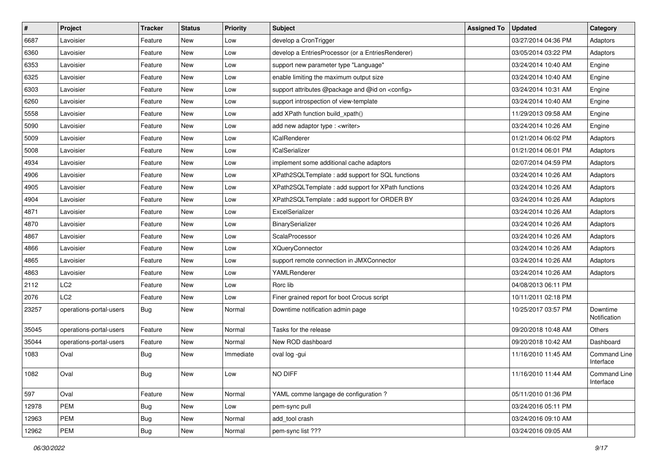| $\vert$ # | <b>Project</b>          | <b>Tracker</b> | <b>Status</b> | <b>Priority</b> | Subject                                                  | <b>Assigned To</b> | <b>Updated</b>      | Category                         |
|-----------|-------------------------|----------------|---------------|-----------------|----------------------------------------------------------|--------------------|---------------------|----------------------------------|
| 6687      | Lavoisier               | Feature        | <b>New</b>    | Low             | develop a CronTrigger                                    |                    | 03/27/2014 04:36 PM | Adaptors                         |
| 6360      | Lavoisier               | Feature        | <b>New</b>    | Low             | develop a EntriesProcessor (or a EntriesRenderer)        |                    | 03/05/2014 03:22 PM | Adaptors                         |
| 6353      | Lavoisier               | Feature        | New           | Low             | support new parameter type "Language"                    |                    | 03/24/2014 10:40 AM | Engine                           |
| 6325      | Lavoisier               | Feature        | New           | Low             | enable limiting the maximum output size                  |                    | 03/24/2014 10:40 AM | Engine                           |
| 6303      | Lavoisier               | Feature        | New           | Low             | support attributes @package and @id on <config></config> |                    | 03/24/2014 10:31 AM | Engine                           |
| 6260      | Lavoisier               | Feature        | <b>New</b>    | Low             | support introspection of view-template                   |                    | 03/24/2014 10:40 AM | Engine                           |
| 5558      | Lavoisier               | Feature        | <b>New</b>    | Low             | add XPath function build_xpath()                         |                    | 11/29/2013 09:58 AM | Engine                           |
| 5090      | Lavoisier               | Feature        | New           | Low             | add new adaptor type : <writer></writer>                 |                    | 03/24/2014 10:26 AM | Engine                           |
| 5009      | Lavoisier               | Feature        | New           | Low             | <b>ICalRenderer</b>                                      |                    | 01/21/2014 06:02 PM | Adaptors                         |
| 5008      | Lavoisier               | Feature        | <b>New</b>    | Low             | <b>ICalSerializer</b>                                    |                    | 01/21/2014 06:01 PM | Adaptors                         |
| 4934      | Lavoisier               | Feature        | New           | Low             | implement some additional cache adaptors                 |                    | 02/07/2014 04:59 PM | Adaptors                         |
| 4906      | Lavoisier               | Feature        | <b>New</b>    | Low             | XPath2SQLTemplate : add support for SQL functions        |                    | 03/24/2014 10:26 AM | Adaptors                         |
| 4905      | Lavoisier               | Feature        | New           | Low             | XPath2SQLTemplate: add support for XPath functions       |                    | 03/24/2014 10:26 AM | Adaptors                         |
| 4904      | Lavoisier               | Feature        | New           | Low             | XPath2SQLTemplate : add support for ORDER BY             |                    | 03/24/2014 10:26 AM | Adaptors                         |
| 4871      | Lavoisier               | Feature        | <b>New</b>    | Low             | ExcelSerializer                                          |                    | 03/24/2014 10:26 AM | Adaptors                         |
| 4870      | Lavoisier               | Feature        | New           | Low             | BinarySerializer                                         |                    | 03/24/2014 10:26 AM | Adaptors                         |
| 4867      | Lavoisier               | Feature        | New           | Low             | ScalaProcessor                                           |                    | 03/24/2014 10:26 AM | Adaptors                         |
| 4866      | Lavoisier               | Feature        | New           | Low             | <b>XQueryConnector</b>                                   |                    | 03/24/2014 10:26 AM | Adaptors                         |
| 4865      | Lavoisier               | Feature        | <b>New</b>    | Low             | support remote connection in JMXConnector                |                    | 03/24/2014 10:26 AM | Adaptors                         |
| 4863      | Lavoisier               | Feature        | <b>New</b>    | Low             | YAMLRenderer                                             |                    | 03/24/2014 10:26 AM | Adaptors                         |
| 2112      | LC <sub>2</sub>         | Feature        | <b>New</b>    | Low             | Rorc lib                                                 |                    | 04/08/2013 06:11 PM |                                  |
| 2076      | LC <sub>2</sub>         | Feature        | New           | Low             | Finer grained report for boot Crocus script              |                    | 10/11/2011 02:18 PM |                                  |
| 23257     | operations-portal-users | <b>Bug</b>     | New           | Normal          | Downtime notification admin page                         |                    | 10/25/2017 03:57 PM | Downtime<br>Notification         |
| 35045     | operations-portal-users | Feature        | <b>New</b>    | Normal          | Tasks for the release                                    |                    | 09/20/2018 10:48 AM | Others                           |
| 35044     | operations-portal-users | Feature        | New           | Normal          | New ROD dashboard                                        |                    | 09/20/2018 10:42 AM | Dashboard                        |
| 1083      | Oval                    | Bug            | <b>New</b>    | Immediate       | oval log -gui                                            |                    | 11/16/2010 11:45 AM | <b>Command Line</b><br>Interface |
| 1082      | Oval                    | <b>Bug</b>     | New           | Low             | NO DIFF                                                  |                    | 11/16/2010 11:44 AM | Command Line<br>Interface        |
| 597       | Oval                    | Feature        | New           | Normal          | YAML comme langage de configuration ?                    |                    | 05/11/2010 01:36 PM |                                  |
| 12978     | PEM                     | <b>Bug</b>     | New           | Low             | pem-sync pull                                            |                    | 03/24/2016 05:11 PM |                                  |
| 12963     | PEM                     | <b>Bug</b>     | New           | Normal          | add_tool crash                                           |                    | 03/24/2016 09:10 AM |                                  |
| 12962     | PEM                     | <b>Bug</b>     | New           | Normal          | pem-sync list ???                                        |                    | 03/24/2016 09:05 AM |                                  |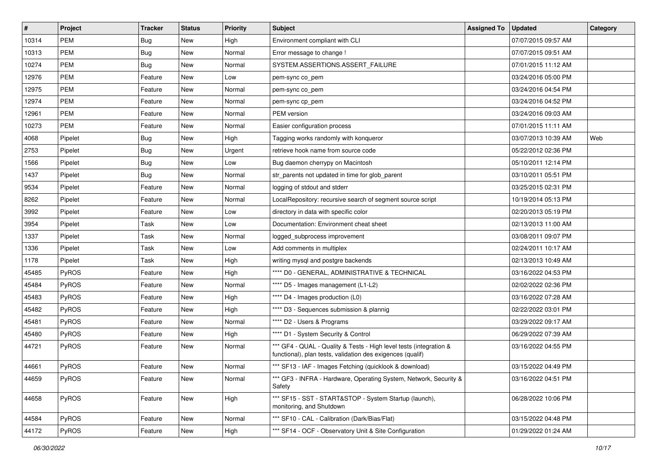| $\vert$ # | Project | <b>Tracker</b> | <b>Status</b> | <b>Priority</b> | <b>Subject</b>                                                                                                                   | <b>Assigned To</b> | <b>Updated</b>      | Category |
|-----------|---------|----------------|---------------|-----------------|----------------------------------------------------------------------------------------------------------------------------------|--------------------|---------------------|----------|
| 10314     | PEM     | <b>Bug</b>     | New           | High            | Environment compliant with CLI                                                                                                   |                    | 07/07/2015 09:57 AM |          |
| 10313     | PEM     | <b>Bug</b>     | New           | Normal          | Error message to change !                                                                                                        |                    | 07/07/2015 09:51 AM |          |
| 10274     | PEM     | <b>Bug</b>     | New           | Normal          | SYSTEM.ASSERTIONS.ASSERT_FAILURE                                                                                                 |                    | 07/01/2015 11:12 AM |          |
| 12976     | PEM     | Feature        | New           | Low             | pem-sync co pem                                                                                                                  |                    | 03/24/2016 05:00 PM |          |
| 12975     | PEM     | Feature        | New           | Normal          | pem-sync co_pem                                                                                                                  |                    | 03/24/2016 04:54 PM |          |
| 12974     | PEM     | Feature        | New           | Normal          | pem-sync cp_pem                                                                                                                  |                    | 03/24/2016 04:52 PM |          |
| 12961     | PEM     | Feature        | New           | Normal          | PEM version                                                                                                                      |                    | 03/24/2016 09:03 AM |          |
| 10273     | PEM     | Feature        | New           | Normal          | Easier configuration process                                                                                                     |                    | 07/01/2015 11:11 AM |          |
| 4068      | Pipelet | <b>Bug</b>     | New           | High            | Tagging works randomly with konqueror                                                                                            |                    | 03/07/2013 10:39 AM | Web      |
| 2753      | Pipelet | <b>Bug</b>     | New           | Urgent          | retrieve hook name from source code                                                                                              |                    | 05/22/2012 02:36 PM |          |
| 1566      | Pipelet | <b>Bug</b>     | New           | Low             | Bug daemon cherrypy on Macintosh                                                                                                 |                    | 05/10/2011 12:14 PM |          |
| 1437      | Pipelet | <b>Bug</b>     | New           | Normal          | str_parents not updated in time for glob_parent                                                                                  |                    | 03/10/2011 05:51 PM |          |
| 9534      | Pipelet | Feature        | New           | Normal          | logging of stdout and stderr                                                                                                     |                    | 03/25/2015 02:31 PM |          |
| 8262      | Pipelet | Feature        | New           | Normal          | LocalRepository: recursive search of segment source script                                                                       |                    | 10/19/2014 05:13 PM |          |
| 3992      | Pipelet | Feature        | <b>New</b>    | Low             | directory in data with specific color                                                                                            |                    | 02/20/2013 05:19 PM |          |
| 3954      | Pipelet | Task           | New           | Low             | Documentation: Environment cheat sheet                                                                                           |                    | 02/13/2013 11:00 AM |          |
| 1337      | Pipelet | Task           | New           | Normal          | logged subprocess improvement                                                                                                    |                    | 03/08/2011 09:07 PM |          |
| 1336      | Pipelet | Task           | New           | Low             | Add comments in multiplex                                                                                                        |                    | 02/24/2011 10:17 AM |          |
| 1178      | Pipelet | Task           | New           | High            | writing mysql and postgre backends                                                                                               |                    | 02/13/2013 10:49 AM |          |
| 45485     | PyROS   | Feature        | New           | High            | **** D0 - GENERAL, ADMINISTRATIVE & TECHNICAL                                                                                    |                    | 03/16/2022 04:53 PM |          |
| 45484     | PyROS   | Feature        | New           | Normal          | **** D5 - Images management (L1-L2)                                                                                              |                    | 02/02/2022 02:36 PM |          |
| 45483     | PyROS   | Feature        | New           | High            | **** D4 - Images production (L0)                                                                                                 |                    | 03/16/2022 07:28 AM |          |
| 45482     | PyROS   | Feature        | New           | High            | **** D3 - Sequences submission & plannig                                                                                         |                    | 02/22/2022 03:01 PM |          |
| 45481     | PyROS   | Feature        | New           | Normal          | **** D2 - Users & Programs                                                                                                       |                    | 03/29/2022 09:17 AM |          |
| 45480     | PyROS   | Feature        | New           | High            | **** D1 - System Security & Control                                                                                              |                    | 06/29/2022 07:39 AM |          |
| 44721     | PyROS   | Feature        | New           | Normal          | *** GF4 - QUAL - Quality & Tests - High level tests (integration &<br>functional), plan tests, validation des exigences (qualif) |                    | 03/16/2022 04:55 PM |          |
| 44661     | PyROS   | Feature        | New           | Normal          | *** SF13 - IAF - Images Fetching (quicklook & download)                                                                          |                    | 03/15/2022 04:49 PM |          |
| 44659     | PyROS   | Feature        | New           | Normal          | *** GF3 - INFRA - Hardware, Operating System, Network, Security &<br>Safety                                                      |                    | 03/16/2022 04:51 PM |          |
| 44658     | PyROS   | Feature        | New           | High            | *** SF15 - SST - START&STOP - System Startup (launch),<br>monitoring, and Shutdown                                               |                    | 06/28/2022 10:06 PM |          |
| 44584     | PyROS   | Feature        | <b>New</b>    | Normal          | *** SF10 - CAL - Calibration (Dark/Bias/Flat)                                                                                    |                    | 03/15/2022 04:48 PM |          |
| 44172     | PyROS   | Feature        | New           | High            | *** SF14 - OCF - Observatory Unit & Site Configuration                                                                           |                    | 01/29/2022 01:24 AM |          |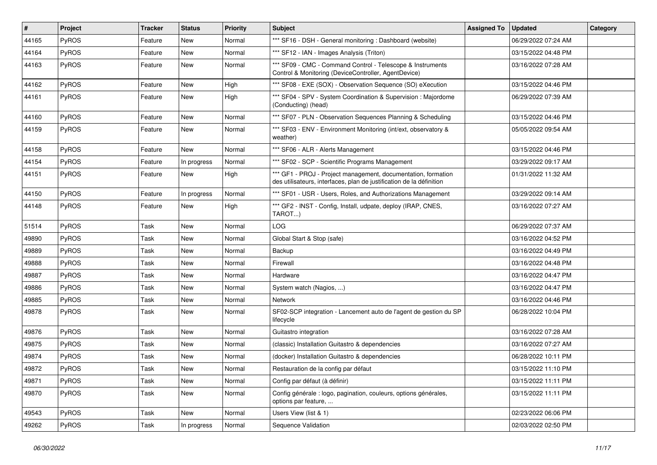| #     | Project      | Tracker | <b>Status</b> | <b>Priority</b> | Subject                                                                                                                               | <b>Assigned To</b> | <b>Updated</b>      | Category |
|-------|--------------|---------|---------------|-----------------|---------------------------------------------------------------------------------------------------------------------------------------|--------------------|---------------------|----------|
| 44165 | PyROS        | Feature | New           | Normal          | *** SF16 - DSH - General monitoring : Dashboard (website)                                                                             |                    | 06/29/2022 07:24 AM |          |
| 44164 | PyROS        | Feature | New           | Normal          | *** SF12 - IAN - Images Analysis (Triton)                                                                                             |                    | 03/15/2022 04:48 PM |          |
| 44163 | PyROS        | Feature | New           | Normal          | *** SF09 - CMC - Command Control - Telescope & Instruments<br>Control & Monitoring (DeviceController, AgentDevice)                    |                    | 03/16/2022 07:28 AM |          |
| 44162 | PyROS        | Feature | New           | High            | *** SF08 - EXE (SOX) - Observation Sequence (SO) eXecution                                                                            |                    | 03/15/2022 04:46 PM |          |
| 44161 | PyROS        | Feature | New           | High            | *** SF04 - SPV - System Coordination & Supervision : Majordome<br>(Conducting) (head)                                                 |                    | 06/29/2022 07:39 AM |          |
| 44160 | PyROS        | Feature | New           | Normal          | *** SF07 - PLN - Observation Sequences Planning & Scheduling                                                                          |                    | 03/15/2022 04:46 PM |          |
| 44159 | PyROS        | Feature | New           | Normal          | *** SF03 - ENV - Environment Monitoring (int/ext, observatory &<br>weather)                                                           |                    | 05/05/2022 09:54 AM |          |
| 44158 | PyROS        | Feature | New           | Normal          | *** SF06 - ALR - Alerts Management                                                                                                    |                    | 03/15/2022 04:46 PM |          |
| 44154 | PyROS        | Feature | In progress   | Normal          | *** SF02 - SCP - Scientific Programs Management                                                                                       |                    | 03/29/2022 09:17 AM |          |
| 44151 | PyROS        | Feature | New           | High            | *** GF1 - PROJ - Project management, documentation, formation<br>des utilisateurs, interfaces, plan de justification de la définition |                    | 01/31/2022 11:32 AM |          |
| 44150 | PyROS        | Feature | In progress   | Normal          | *** SF01 - USR - Users, Roles, and Authorizations Management                                                                          |                    | 03/29/2022 09:14 AM |          |
| 44148 | PyROS        | Feature | New           | High            | *** GF2 - INST - Config, Install, udpate, deploy (IRAP, CNES,<br>TAROT)                                                               |                    | 03/16/2022 07:27 AM |          |
| 51514 | PyROS        | Task    | New           | Normal          | <b>LOG</b>                                                                                                                            |                    | 06/29/2022 07:37 AM |          |
| 49890 | <b>PyROS</b> | Task    | New           | Normal          | Global Start & Stop (safe)                                                                                                            |                    | 03/16/2022 04:52 PM |          |
| 49889 | PyROS        | Task    | New           | Normal          | Backup                                                                                                                                |                    | 03/16/2022 04:49 PM |          |
| 49888 | PyROS        | Task    | New           | Normal          | Firewall                                                                                                                              |                    | 03/16/2022 04:48 PM |          |
| 49887 | PyROS        | Task    | New           | Normal          | Hardware                                                                                                                              |                    | 03/16/2022 04:47 PM |          |
| 49886 | PyROS        | Task    | <b>New</b>    | Normal          | System watch (Nagios, )                                                                                                               |                    | 03/16/2022 04:47 PM |          |
| 49885 | <b>PyROS</b> | Task    | New           | Normal          | <b>Network</b>                                                                                                                        |                    | 03/16/2022 04:46 PM |          |
| 49878 | PyROS        | Task    | New           | Normal          | SF02-SCP integration - Lancement auto de l'agent de gestion du SP<br>lifecycle                                                        |                    | 06/28/2022 10:04 PM |          |
| 49876 | PyROS        | Task    | <b>New</b>    | Normal          | Guitastro integration                                                                                                                 |                    | 03/16/2022 07:28 AM |          |
| 49875 | PyROS        | Task    | New           | Normal          | (classic) Installation Guitastro & dependencies                                                                                       |                    | 03/16/2022 07:27 AM |          |
| 49874 | PyROS        | Task    | New           | Normal          | (docker) Installation Guitastro & dependencies                                                                                        |                    | 06/28/2022 10:11 PM |          |
| 49872 | <b>PyROS</b> | Task    | New           | Normal          | Restauration de la config par défaut                                                                                                  |                    | 03/15/2022 11:10 PM |          |
| 49871 | PyROS        | Task    | New           | Normal          | Config par défaut (à définir)                                                                                                         |                    | 03/15/2022 11:11 PM |          |
| 49870 | PyROS        | Task    | New           | Normal          | Config générale : logo, pagination, couleurs, options générales,<br>options par feature,                                              |                    | 03/15/2022 11:11 PM |          |
| 49543 | PyROS        | Task    | New           | Normal          | Users View (list & 1)                                                                                                                 |                    | 02/23/2022 06:06 PM |          |
| 49262 | PyROS        | Task    | In progress   | Normal          | Sequence Validation                                                                                                                   |                    | 02/03/2022 02:50 PM |          |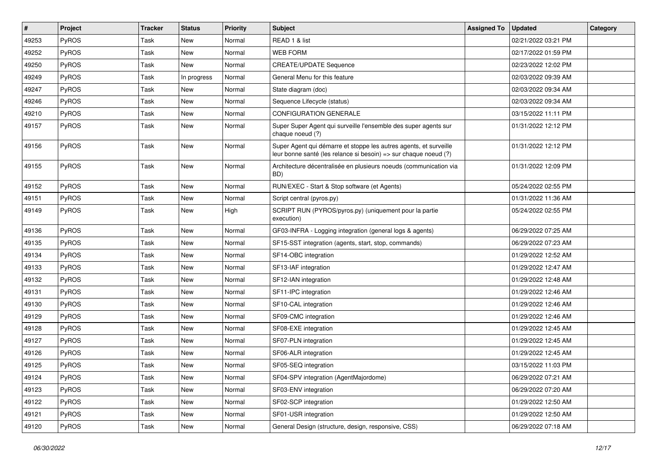| $\vert$ # | Project      | Tracker | <b>Status</b> | <b>Priority</b> | <b>Subject</b>                                                                                                                        | <b>Assigned To</b> | <b>Updated</b>      | Category |
|-----------|--------------|---------|---------------|-----------------|---------------------------------------------------------------------------------------------------------------------------------------|--------------------|---------------------|----------|
| 49253     | PyROS        | Task    | New           | Normal          | READ 1 & list                                                                                                                         |                    | 02/21/2022 03:21 PM |          |
| 49252     | PyROS        | Task    | New           | Normal          | <b>WEB FORM</b>                                                                                                                       |                    | 02/17/2022 01:59 PM |          |
| 49250     | <b>PyROS</b> | Task    | New           | Normal          | <b>CREATE/UPDATE Sequence</b>                                                                                                         |                    | 02/23/2022 12:02 PM |          |
| 49249     | PyROS        | Task    | In progress   | Normal          | General Menu for this feature                                                                                                         |                    | 02/03/2022 09:39 AM |          |
| 49247     | PyROS        | Task    | New           | Normal          | State diagram (doc)                                                                                                                   |                    | 02/03/2022 09:34 AM |          |
| 49246     | PyROS        | Task    | New           | Normal          | Sequence Lifecycle (status)                                                                                                           |                    | 02/03/2022 09:34 AM |          |
| 49210     | PyROS        | Task    | New           | Normal          | <b>CONFIGURATION GENERALE</b>                                                                                                         |                    | 03/15/2022 11:11 PM |          |
| 49157     | <b>PyROS</b> | Task    | New           | Normal          | Super Super Agent qui surveille l'ensemble des super agents sur<br>chaque noeud (?)                                                   |                    | 01/31/2022 12:12 PM |          |
| 49156     | PyROS        | Task    | New           | Normal          | Super Agent qui démarre et stoppe les autres agents, et surveille<br>leur bonne santé (les relance si besoin) => sur chaque noeud (?) |                    | 01/31/2022 12:12 PM |          |
| 49155     | PyROS        | Task    | New           | Normal          | Architecture décentralisée en plusieurs noeuds (communication via<br>BD)                                                              |                    | 01/31/2022 12:09 PM |          |
| 49152     | PyROS        | Task    | New           | Normal          | RUN/EXEC - Start & Stop software (et Agents)                                                                                          |                    | 05/24/2022 02:55 PM |          |
| 49151     | PyROS        | Task    | New           | Normal          | Script central (pyros.py)                                                                                                             |                    | 01/31/2022 11:36 AM |          |
| 49149     | <b>PyROS</b> | Task    | New           | High            | SCRIPT RUN (PYROS/pyros.py) (uniquement pour la partie<br>execution)                                                                  |                    | 05/24/2022 02:55 PM |          |
| 49136     | PyROS        | Task    | New           | Normal          | GF03-INFRA - Logging integration (general logs & agents)                                                                              |                    | 06/29/2022 07:25 AM |          |
| 49135     | <b>PyROS</b> | Task    | New           | Normal          | SF15-SST integration (agents, start, stop, commands)                                                                                  |                    | 06/29/2022 07:23 AM |          |
| 49134     | PyROS        | Task    | New           | Normal          | SF14-OBC integration                                                                                                                  |                    | 01/29/2022 12:52 AM |          |
| 49133     | PyROS        | Task    | New           | Normal          | SF13-IAF integration                                                                                                                  |                    | 01/29/2022 12:47 AM |          |
| 49132     | PyROS        | Task    | New           | Normal          | SF12-IAN integration                                                                                                                  |                    | 01/29/2022 12:48 AM |          |
| 49131     | PyROS        | Task    | <b>New</b>    | Normal          | SF11-IPC integration                                                                                                                  |                    | 01/29/2022 12:46 AM |          |
| 49130     | PyROS        | Task    | New           | Normal          | SF10-CAL integration                                                                                                                  |                    | 01/29/2022 12:46 AM |          |
| 49129     | PyROS        | Task    | New           | Normal          | SF09-CMC integration                                                                                                                  |                    | 01/29/2022 12:46 AM |          |
| 49128     | PyROS        | Task    | New           | Normal          | SF08-EXE integration                                                                                                                  |                    | 01/29/2022 12:45 AM |          |
| 49127     | PyROS        | Task    | New           | Normal          | SF07-PLN integration                                                                                                                  |                    | 01/29/2022 12:45 AM |          |
| 49126     | PyROS        | Task    | New           | Normal          | SF06-ALR integration                                                                                                                  |                    | 01/29/2022 12:45 AM |          |
| 49125     | PyROS        | Task    | New           | Normal          | SF05-SEQ integration                                                                                                                  |                    | 03/15/2022 11:03 PM |          |
| 49124     | PyROS        | Task    | New           | Normal          | SF04-SPV integration (AgentMajordome)                                                                                                 |                    | 06/29/2022 07:21 AM |          |
| 49123     | PyROS        | Task    | New           | Normal          | SF03-ENV integration                                                                                                                  |                    | 06/29/2022 07:20 AM |          |
| 49122     | <b>PyROS</b> | Task    | New           | Normal          | SF02-SCP integration                                                                                                                  |                    | 01/29/2022 12:50 AM |          |
| 49121     | PyROS        | Task    | New           | Normal          | SF01-USR integration                                                                                                                  |                    | 01/29/2022 12:50 AM |          |
| 49120     | PyROS        | Task    | New           | Normal          | General Design (structure, design, responsive, CSS)                                                                                   |                    | 06/29/2022 07:18 AM |          |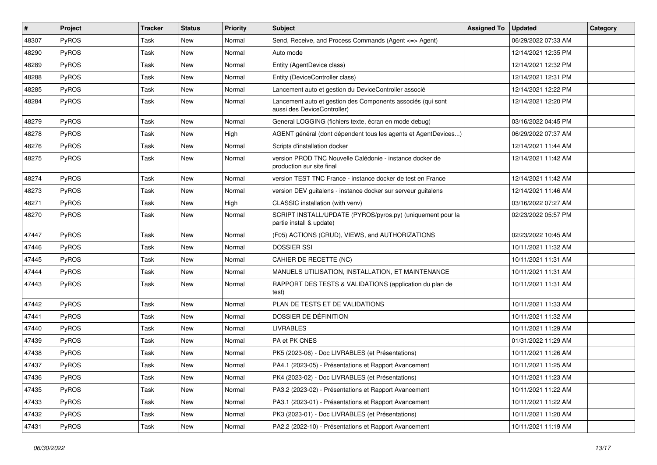| $\vert$ # | Project      | Tracker | <b>Status</b> | <b>Priority</b> | Subject                                                                                    | <b>Assigned To</b> | <b>Updated</b>      | Category |
|-----------|--------------|---------|---------------|-----------------|--------------------------------------------------------------------------------------------|--------------------|---------------------|----------|
| 48307     | PyROS        | Task    | New           | Normal          | Send, Receive, and Process Commands (Agent <= > Agent)                                     |                    | 06/29/2022 07:33 AM |          |
| 48290     | PyROS        | Task    | New           | Normal          | Auto mode                                                                                  |                    | 12/14/2021 12:35 PM |          |
| 48289     | PyROS        | Task    | New           | Normal          | Entity (AgentDevice class)                                                                 |                    | 12/14/2021 12:32 PM |          |
| 48288     | PyROS        | Task    | New           | Normal          | Entity (DeviceController class)                                                            |                    | 12/14/2021 12:31 PM |          |
| 48285     | PyROS        | Task    | <b>New</b>    | Normal          | Lancement auto et gestion du DeviceController associé                                      |                    | 12/14/2021 12:22 PM |          |
| 48284     | PyROS        | Task    | New           | Normal          | Lancement auto et gestion des Components associés (qui sont<br>aussi des DeviceController) |                    | 12/14/2021 12:20 PM |          |
| 48279     | PyROS        | Task    | New           | Normal          | General LOGGING (fichiers texte, écran en mode debug)                                      |                    | 03/16/2022 04:45 PM |          |
| 48278     | PyROS        | Task    | New           | High            | AGENT général (dont dépendent tous les agents et AgentDevices)                             |                    | 06/29/2022 07:37 AM |          |
| 48276     | PyROS        | Task    | New           | Normal          | Scripts d'installation docker                                                              |                    | 12/14/2021 11:44 AM |          |
| 48275     | <b>PyROS</b> | Task    | New           | Normal          | version PROD TNC Nouvelle Calédonie - instance docker de<br>production sur site final      |                    | 12/14/2021 11:42 AM |          |
| 48274     | PyROS        | Task    | New           | Normal          | version TEST TNC France - instance docker de test en France                                |                    | 12/14/2021 11:42 AM |          |
| 48273     | PyROS        | Task    | New           | Normal          | version DEV guitalens - instance docker sur serveur guitalens                              |                    | 12/14/2021 11:46 AM |          |
| 48271     | PyROS        | Task    | <b>New</b>    | High            | CLASSIC installation (with venv)                                                           |                    | 03/16/2022 07:27 AM |          |
| 48270     | PyROS        | Task    | New           | Normal          | SCRIPT INSTALL/UPDATE (PYROS/pyros.py) (uniquement pour la<br>partie install & update)     |                    | 02/23/2022 05:57 PM |          |
| 47447     | PyROS        | Task    | New           | Normal          | (F05) ACTIONS (CRUD), VIEWS, and AUTHORIZATIONS                                            |                    | 02/23/2022 10:45 AM |          |
| 47446     | PyROS        | Task    | New           | Normal          | <b>DOSSIER SSI</b>                                                                         |                    | 10/11/2021 11:32 AM |          |
| 47445     | PyROS        | Task    | New           | Normal          | CAHIER DE RECETTE (NC)                                                                     |                    | 10/11/2021 11:31 AM |          |
| 47444     | PyROS        | Task    | New           | Normal          | MANUELS UTILISATION, INSTALLATION, ET MAINTENANCE                                          |                    | 10/11/2021 11:31 AM |          |
| 47443     | PyROS        | Task    | New           | Normal          | RAPPORT DES TESTS & VALIDATIONS (application du plan de<br>test)                           |                    | 10/11/2021 11:31 AM |          |
| 47442     | PyROS        | Task    | New           | Normal          | PLAN DE TESTS ET DE VALIDATIONS                                                            |                    | 10/11/2021 11:33 AM |          |
| 47441     | PyROS        | Task    | <b>New</b>    | Normal          | DOSSIER DE DÉFINITION                                                                      |                    | 10/11/2021 11:32 AM |          |
| 47440     | PyROS        | Task    | New           | Normal          | <b>LIVRABLES</b>                                                                           |                    | 10/11/2021 11:29 AM |          |
| 47439     | PyROS        | Task    | New           | Normal          | PA et PK CNES                                                                              |                    | 01/31/2022 11:29 AM |          |
| 47438     | PyROS        | Task    | New           | Normal          | PK5 (2023-06) - Doc LIVRABLES (et Présentations)                                           |                    | 10/11/2021 11:26 AM |          |
| 47437     | PyROS        | Task    | New           | Normal          | PA4.1 (2023-05) - Présentations et Rapport Avancement                                      |                    | 10/11/2021 11:25 AM |          |
| 47436     | PyROS        | Task    | New           | Normal          | PK4 (2023-02) - Doc LIVRABLES (et Présentations)                                           |                    | 10/11/2021 11:23 AM |          |
| 47435     | PyROS        | Task    | New           | Normal          | PA3.2 (2023-02) - Présentations et Rapport Avancement                                      |                    | 10/11/2021 11:22 AM |          |
| 47433     | PyROS        | Task    | New           | Normal          | PA3.1 (2023-01) - Présentations et Rapport Avancement                                      |                    | 10/11/2021 11:22 AM |          |
| 47432     | PyROS        | Task    | New           | Normal          | PK3 (2023-01) - Doc LIVRABLES (et Présentations)                                           |                    | 10/11/2021 11:20 AM |          |
| 47431     | PyROS        | Task    | New           | Normal          | PA2.2 (2022-10) - Présentations et Rapport Avancement                                      |                    | 10/11/2021 11:19 AM |          |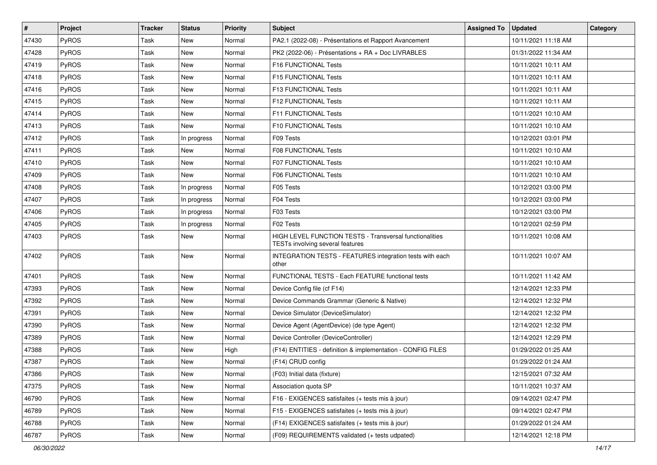| $\vert$ # | Project | <b>Tracker</b> | <b>Status</b> | <b>Priority</b> | <b>Subject</b>                                                                              | <b>Assigned To</b> | <b>Updated</b>      | Category |
|-----------|---------|----------------|---------------|-----------------|---------------------------------------------------------------------------------------------|--------------------|---------------------|----------|
| 47430     | PyROS   | Task           | New           | Normal          | PA2.1 (2022-08) - Présentations et Rapport Avancement                                       |                    | 10/11/2021 11:18 AM |          |
| 47428     | PyROS   | Task           | New           | Normal          | PK2 (2022-06) - Présentations + RA + Doc LIVRABLES                                          |                    | 01/31/2022 11:34 AM |          |
| 47419     | PyROS   | Task           | New           | Normal          | F16 FUNCTIONAL Tests                                                                        |                    | 10/11/2021 10:11 AM |          |
| 47418     | PyROS   | Task           | New           | Normal          | F15 FUNCTIONAL Tests                                                                        |                    | 10/11/2021 10:11 AM |          |
| 47416     | PyROS   | Task           | New           | Normal          | <b>F13 FUNCTIONAL Tests</b>                                                                 |                    | 10/11/2021 10:11 AM |          |
| 47415     | PyROS   | Task           | New           | Normal          | F12 FUNCTIONAL Tests                                                                        |                    | 10/11/2021 10:11 AM |          |
| 47414     | PyROS   | Task           | New           | Normal          | F11 FUNCTIONAL Tests                                                                        |                    | 10/11/2021 10:10 AM |          |
| 47413     | PyROS   | Task           | New           | Normal          | F10 FUNCTIONAL Tests                                                                        |                    | 10/11/2021 10:10 AM |          |
| 47412     | PyROS   | Task           | In progress   | Normal          | F09 Tests                                                                                   |                    | 10/12/2021 03:01 PM |          |
| 47411     | PyROS   | Task           | New           | Normal          | F08 FUNCTIONAL Tests                                                                        |                    | 10/11/2021 10:10 AM |          |
| 47410     | PyROS   | Task           | New           | Normal          | <b>F07 FUNCTIONAL Tests</b>                                                                 |                    | 10/11/2021 10:10 AM |          |
| 47409     | PyROS   | Task           | New           | Normal          | F06 FUNCTIONAL Tests                                                                        |                    | 10/11/2021 10:10 AM |          |
| 47408     | PyROS   | Task           | In progress   | Normal          | F05 Tests                                                                                   |                    | 10/12/2021 03:00 PM |          |
| 47407     | PyROS   | Task           | In progress   | Normal          | F04 Tests                                                                                   |                    | 10/12/2021 03:00 PM |          |
| 47406     | PyROS   | Task           | In progress   | Normal          | F03 Tests                                                                                   |                    | 10/12/2021 03:00 PM |          |
| 47405     | PyROS   | Task           | In progress   | Normal          | F02 Tests                                                                                   |                    | 10/12/2021 02:59 PM |          |
| 47403     | PyROS   | Task           | New           | Normal          | HIGH LEVEL FUNCTION TESTS - Transversal functionalities<br>TESTs involving several features |                    | 10/11/2021 10:08 AM |          |
| 47402     | PyROS   | Task           | New           | Normal          | INTEGRATION TESTS - FEATURES integration tests with each<br>other                           |                    | 10/11/2021 10:07 AM |          |
| 47401     | PyROS   | Task           | New           | Normal          | FUNCTIONAL TESTS - Each FEATURE functional tests                                            |                    | 10/11/2021 11:42 AM |          |
| 47393     | PyROS   | Task           | New           | Normal          | Device Config file (cf F14)                                                                 |                    | 12/14/2021 12:33 PM |          |
| 47392     | PyROS   | Task           | New           | Normal          | Device Commands Grammar (Generic & Native)                                                  |                    | 12/14/2021 12:32 PM |          |
| 47391     | PyROS   | Task           | New           | Normal          | Device Simulator (DeviceSimulator)                                                          |                    | 12/14/2021 12:32 PM |          |
| 47390     | PyROS   | Task           | New           | Normal          | Device Agent (AgentDevice) (de type Agent)                                                  |                    | 12/14/2021 12:32 PM |          |
| 47389     | PyROS   | Task           | New           | Normal          | Device Controller (DeviceController)                                                        |                    | 12/14/2021 12:29 PM |          |
| 47388     | PyROS   | Task           | New           | High            | (F14) ENTITIES - definition & implementation - CONFIG FILES                                 |                    | 01/29/2022 01:25 AM |          |
| 47387     | PyROS   | Task           | New           | Normal          | (F14) CRUD config                                                                           |                    | 01/29/2022 01:24 AM |          |
| 47386     | PyROS   | Task           | New           | Normal          | (F03) Initial data (fixture)                                                                |                    | 12/15/2021 07:32 AM |          |
| 47375     | PyROS   | Task           | New           | Normal          | Association quota SP                                                                        |                    | 10/11/2021 10:37 AM |          |
| 46790     | PyROS   | Task           | New           | Normal          | F16 - EXIGENCES satisfaites (+ tests mis à jour)                                            |                    | 09/14/2021 02:47 PM |          |
| 46789     | PyROS   | Task           | New           | Normal          | F15 - EXIGENCES satisfaites (+ tests mis à jour)                                            |                    | 09/14/2021 02:47 PM |          |
| 46788     | PyROS   | Task           | New           | Normal          | (F14) EXIGENCES satisfaites (+ tests mis à jour)                                            |                    | 01/29/2022 01:24 AM |          |
| 46787     | PyROS   | Task           | New           | Normal          | (F09) REQUIREMENTS validated (+ tests udpated)                                              |                    | 12/14/2021 12:18 PM |          |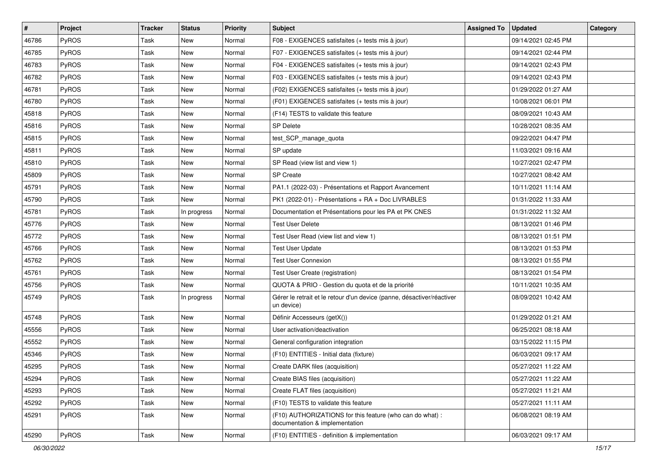| #     | Project      | Tracker | <b>Status</b> | <b>Priority</b> | <b>Subject</b>                                                                              | <b>Assigned To</b> | <b>Updated</b>      | Category |
|-------|--------------|---------|---------------|-----------------|---------------------------------------------------------------------------------------------|--------------------|---------------------|----------|
| 46786 | PyROS        | Task    | New           | Normal          | F08 - EXIGENCES satisfaites (+ tests mis à jour)                                            |                    | 09/14/2021 02:45 PM |          |
| 46785 | PyROS        | Task    | New           | Normal          | F07 - EXIGENCES satisfaites (+ tests mis à jour)                                            |                    | 09/14/2021 02:44 PM |          |
| 46783 | <b>PyROS</b> | Task    | New           | Normal          | F04 - EXIGENCES satisfaites (+ tests mis à jour)                                            |                    | 09/14/2021 02:43 PM |          |
| 46782 | PyROS        | Task    | New           | Normal          | F03 - EXIGENCES satisfaites (+ tests mis à jour)                                            |                    | 09/14/2021 02:43 PM |          |
| 46781 | PyROS        | Task    | New           | Normal          | (F02) EXIGENCES satisfaites (+ tests mis à jour)                                            |                    | 01/29/2022 01:27 AM |          |
| 46780 | PyROS        | Task    | New           | Normal          | (F01) EXIGENCES satisfaites (+ tests mis à jour)                                            |                    | 10/08/2021 06:01 PM |          |
| 45818 | PyROS        | Task    | New           | Normal          | (F14) TESTS to validate this feature                                                        |                    | 08/09/2021 10:43 AM |          |
| 45816 | <b>PyROS</b> | Task    | New           | Normal          | SP Delete                                                                                   |                    | 10/28/2021 08:35 AM |          |
| 45815 | PyROS        | Task    | New           | Normal          | test_SCP_manage_quota                                                                       |                    | 09/22/2021 04:47 PM |          |
| 45811 | PyROS        | Task    | New           | Normal          | SP update                                                                                   |                    | 11/03/2021 09:16 AM |          |
| 45810 | PyROS        | Task    | New           | Normal          | SP Read (view list and view 1)                                                              |                    | 10/27/2021 02:47 PM |          |
| 45809 | PyROS        | Task    | New           | Normal          | SP Create                                                                                   |                    | 10/27/2021 08:42 AM |          |
| 45791 | PyROS        | Task    | New           | Normal          | PA1.1 (2022-03) - Présentations et Rapport Avancement                                       |                    | 10/11/2021 11:14 AM |          |
| 45790 | PyROS        | Task    | <b>New</b>    | Normal          | PK1 (2022-01) - Présentations + RA + Doc LIVRABLES                                          |                    | 01/31/2022 11:33 AM |          |
| 45781 | PyROS        | Task    | In progress   | Normal          | Documentation et Présentations pour les PA et PK CNES                                       |                    | 01/31/2022 11:32 AM |          |
| 45776 | <b>PyROS</b> | Task    | New           | Normal          | <b>Test User Delete</b>                                                                     |                    | 08/13/2021 01:46 PM |          |
| 45772 | PyROS        | Task    | New           | Normal          | Test User Read (view list and view 1)                                                       |                    | 08/13/2021 01:51 PM |          |
| 45766 | <b>PyROS</b> | Task    | New           | Normal          | <b>Test User Update</b>                                                                     |                    | 08/13/2021 01:53 PM |          |
| 45762 | PyROS        | Task    | New           | Normal          | <b>Test User Connexion</b>                                                                  |                    | 08/13/2021 01:55 PM |          |
| 45761 | PyROS        | Task    | New           | Normal          | Test User Create (registration)                                                             |                    | 08/13/2021 01:54 PM |          |
| 45756 | <b>PyROS</b> | Task    | New           | Normal          | QUOTA & PRIO - Gestion du quota et de la priorité                                           |                    | 10/11/2021 10:35 AM |          |
| 45749 | <b>PyROS</b> | Task    | In progress   | Normal          | Gérer le retrait et le retour d'un device (panne, désactiver/réactiver<br>un device)        |                    | 08/09/2021 10:42 AM |          |
| 45748 | PyROS        | Task    | New           | Normal          | Définir Accesseurs (getX())                                                                 |                    | 01/29/2022 01:21 AM |          |
| 45556 | PyROS        | Task    | New           | Normal          | User activation/deactivation                                                                |                    | 06/25/2021 08:18 AM |          |
| 45552 | <b>PyROS</b> | Task    | New           | Normal          | General configuration integration                                                           |                    | 03/15/2022 11:15 PM |          |
| 45346 | PyROS        | Task    | New           | Normal          | (F10) ENTITIES - Initial data (fixture)                                                     |                    | 06/03/2021 09:17 AM |          |
| 45295 | PyROS        | Task    | New           | Normal          | Create DARK files (acquisition)                                                             |                    | 05/27/2021 11:22 AM |          |
| 45294 | <b>PyROS</b> | Task    | New           | Normal          | Create BIAS files (acquisition)                                                             |                    | 05/27/2021 11:22 AM |          |
| 45293 | PyROS        | Task    | New           | Normal          | Create FLAT files (acquisition)                                                             |                    | 05/27/2021 11:21 AM |          |
| 45292 | PyROS        | Task    | New           | Normal          | (F10) TESTS to validate this feature                                                        |                    | 05/27/2021 11:11 AM |          |
| 45291 | PyROS        | Task    | New           | Normal          | (F10) AUTHORIZATIONS for this feature (who can do what) :<br>documentation & implementation |                    | 06/08/2021 08:19 AM |          |
| 45290 | PyROS        | Task    | New           | Normal          | (F10) ENTITIES - definition & implementation                                                |                    | 06/03/2021 09:17 AM |          |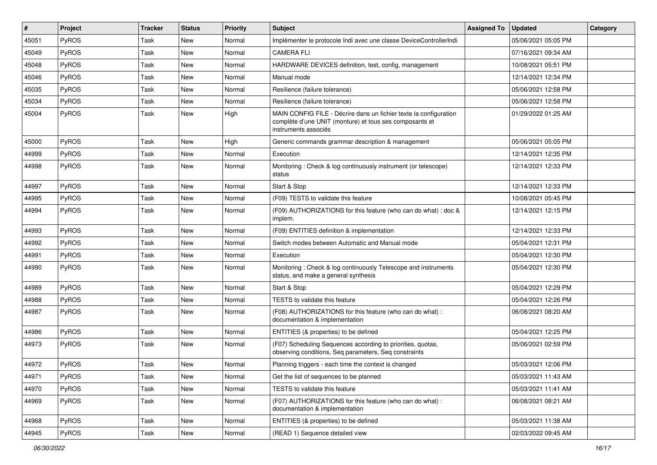| #     | Project      | <b>Tracker</b> | <b>Status</b> | <b>Priority</b> | <b>Subject</b>                                                                                                                                       | <b>Assigned To</b> | <b>Updated</b>      | Category |
|-------|--------------|----------------|---------------|-----------------|------------------------------------------------------------------------------------------------------------------------------------------------------|--------------------|---------------------|----------|
| 45051 | PyROS        | Task           | New           | Normal          | Implémenter le protocole Indi avec une classe DeviceControllerIndi                                                                                   |                    | 05/06/2021 05:05 PM |          |
| 45049 | PyROS        | Task           | New           | Normal          | <b>CAMERA FLI</b>                                                                                                                                    |                    | 07/16/2021 09:34 AM |          |
| 45048 | PyROS        | Task           | New           | Normal          | HARDWARE DEVICES definition, test, config, management                                                                                                |                    | 10/08/2021 05:51 PM |          |
| 45046 | PyROS        | Task           | New           | Normal          | Manual mode                                                                                                                                          |                    | 12/14/2021 12:34 PM |          |
| 45035 | PyROS        | Task           | New           | Normal          | Resilience (failure tolerance)                                                                                                                       |                    | 05/06/2021 12:58 PM |          |
| 45034 | PyROS        | Task           | New           | Normal          | Resilience (failure tolerance)                                                                                                                       |                    | 05/06/2021 12:58 PM |          |
| 45004 | PyROS        | Task           | New           | High            | MAIN CONFIG FILE - Décrire dans un fichier texte la configuration<br>complète d'une UNIT (monture) et tous ses composants et<br>instruments associés |                    | 01/29/2022 01:25 AM |          |
| 45000 | PyROS        | Task           | New           | High            | Generic commands grammar description & management                                                                                                    |                    | 05/06/2021 05:05 PM |          |
| 44999 | PyROS        | Task           | New           | Normal          | Execution                                                                                                                                            |                    | 12/14/2021 12:35 PM |          |
| 44998 | PyROS        | Task           | New           | Normal          | Monitoring: Check & log continuously instrument (or telescope)<br>status                                                                             |                    | 12/14/2021 12:33 PM |          |
| 44997 | PyROS        | Task           | New           | Normal          | Start & Stop                                                                                                                                         |                    | 12/14/2021 12:33 PM |          |
| 44995 | PyROS        | Task           | New           | Normal          | (F09) TESTS to validate this feature                                                                                                                 |                    | 10/08/2021 05:45 PM |          |
| 44994 | <b>PyROS</b> | Task           | New           | Normal          | (F09) AUTHORIZATIONS for this feature (who can do what) : doc &<br>implem.                                                                           |                    | 12/14/2021 12:15 PM |          |
| 44993 | <b>PyROS</b> | Task           | New           | Normal          | (F09) ENTITIES definition & implementation                                                                                                           |                    | 12/14/2021 12:33 PM |          |
| 44992 | PyROS        | Task           | New           | Normal          | Switch modes between Automatic and Manual mode                                                                                                       |                    | 05/04/2021 12:31 PM |          |
| 44991 | PyROS        | Task           | New           | Normal          | Execution                                                                                                                                            |                    | 05/04/2021 12:30 PM |          |
| 44990 | PyROS        | Task           | New           | Normal          | Monitoring: Check & log continuously Telescope and instruments<br>status, and make a general synthesis                                               |                    | 05/04/2021 12:30 PM |          |
| 44989 | PyROS        | Task           | <b>New</b>    | Normal          | Start & Stop                                                                                                                                         |                    | 05/04/2021 12:29 PM |          |
| 44988 | PyROS        | Task           | New           | Normal          | TESTS to validate this feature                                                                                                                       |                    | 05/04/2021 12:26 PM |          |
| 44987 | PyROS        | Task           | New           | Normal          | (F08) AUTHORIZATIONS for this feature (who can do what) :<br>documentation & implementation                                                          |                    | 06/08/2021 08:20 AM |          |
| 44986 | PyROS        | Task           | New           | Normal          | ENTITIES (& properties) to be defined                                                                                                                |                    | 05/04/2021 12:25 PM |          |
| 44973 | PyROS        | Task           | New           | Normal          | (F07) Scheduling Sequences according to priorities, quotas,<br>observing conditions, Seq parameters, Seq constraints                                 |                    | 05/06/2021 02:59 PM |          |
| 44972 | PyROS        | Task           | New           | Normal          | Planning triggers - each time the context is changed                                                                                                 |                    | 05/03/2021 12:06 PM |          |
| 44971 | PyROS        | Task           | New           | Normal          | Get the list of sequences to be planned                                                                                                              |                    | 05/03/2021 11:43 AM |          |
| 44970 | PyROS        | Task           | New           | Normal          | TESTS to validate this feature                                                                                                                       |                    | 05/03/2021 11:41 AM |          |
| 44969 | PyROS        | Task           | New           | Normal          | (F07) AUTHORIZATIONS for this feature (who can do what) :<br>documentation & implementation                                                          |                    | 06/08/2021 08:21 AM |          |
| 44968 | PyROS        | Task           | New           | Normal          | ENTITIES (& properties) to be defined                                                                                                                |                    | 05/03/2021 11:38 AM |          |
| 44945 | PyROS        | Task           | New           | Normal          | (READ 1) Sequence detailed view                                                                                                                      |                    | 02/03/2022 09:45 AM |          |